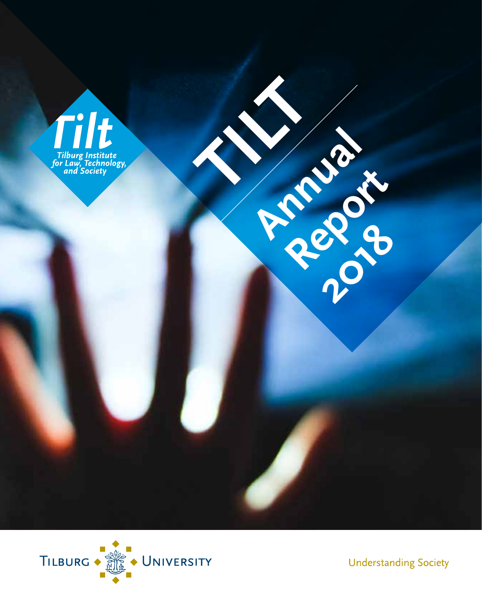

 $\sum_{i=1}^{n}$ 

**Annual River** 

**Report** 

**2018** 



**Understanding Society**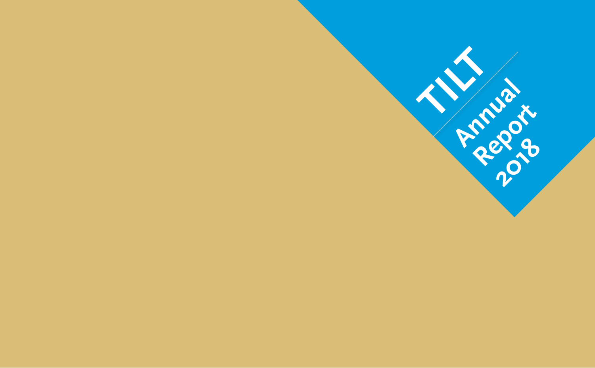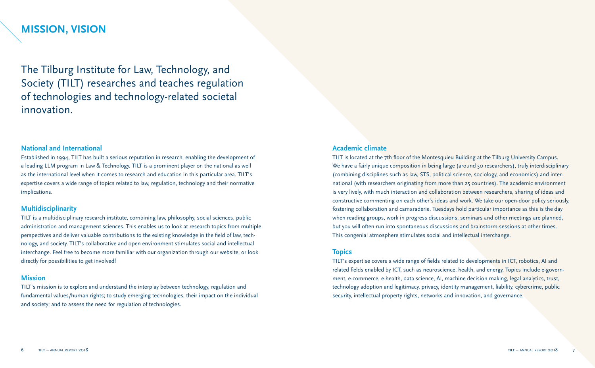### **MISSION, VISION**

The Tilburg Institute for Law, Technology, and Society (TILT) researches and teaches regulation of technologies and technology-related societal innovation.

#### **National and International**

Established in 1994, TILT has built a serious reputation in research, enabling the development of a leading LLM program in Law & Technology. TILT is a prominent player on the national as well as the international level when it comes to research and education in this particular area. TILT's expertise covers a wide range of topics related to law, regulation, technology and their normative implications.

#### **Multidisciplinarity**

TILT is a multidisciplinary research institute, combining law, philosophy, social sciences, public administration and management sciences. This enables us to look at research topics from multiple perspectives and deliver valuable contributions to the existing knowledge in the field of law, technology, and society. TILT's collaborative and open environment stimulates social and intellectual interchange. Feel free to become more familiar with our organization through our website, or look directly for possibilities to get involved!

#### **Mission**

TILT's mission is to explore and understand the interplay between technology, regulation and fundamental values/human rights; to study emerging technologies, their impact on the individual and society; and to assess the need for regulation of technologies.

#### **Academic climate**

TILT is located at the 7th floor of the Montesquieu Building at the Tilburg University Campus. We have a fairly unique composition in being large (around 50 researchers), truly interdisciplinary (combining disciplines such as law, STS, political science, sociology, and economics) and international (with researchers originating from more than 25 countries). The academic environment is very lively, with much interaction and collaboration between researchers, sharing of ideas and constructive commenting on each other's ideas and work. We take our open-door policy seriously, fostering collaboration and camaraderie. Tuesdays hold particular importance as this is the day when reading groups, work in progress discussions, seminars and other meetings are planned, but you will often run into spontaneous discussions and brainstorm-sessions at other times. This congenial atmosphere stimulates social and intellectual interchange.

#### **Topics**

TILT's expertise covers a wide range of fields related to developments in ICT, robotics, AI and related fields enabled by ICT, such as neuroscience, health, and energy. Topics include e-government, e-commerce, e-health, data science, AI, machine decision making, legal analytics, trust, technology adoption and legitimacy, privacy, identity management, liability, cybercrime, public security, intellectual property rights, networks and innovation, and governance.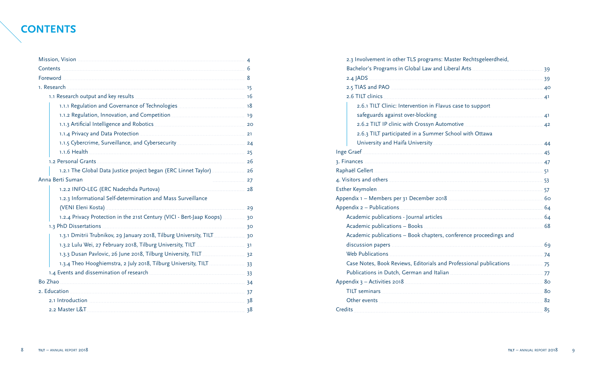## **CONTENTS**

|                                                                                                                                    | $\overline{\mathcal{A}}$ |
|------------------------------------------------------------------------------------------------------------------------------------|--------------------------|
|                                                                                                                                    |                          |
|                                                                                                                                    |                          |
|                                                                                                                                    |                          |
|                                                                                                                                    |                          |
| 18 million and Governance of Technologies [11.1.1] Regulation and Governance of Technologies                                       |                          |
|                                                                                                                                    |                          |
| 1.1.3 Artificial Intelligence and Robotics <b>Manual According to Artificial</b> 20                                                |                          |
|                                                                                                                                    |                          |
|                                                                                                                                    |                          |
| 1.1.6 Health 25                                                                                                                    |                          |
|                                                                                                                                    |                          |
| 1.2.1 The Global Data Justice project began (ERC Linnet Taylor) <b>Manual</b> 26                                                   |                          |
| Anna Berti Suman<br>27                                                                                                             |                          |
|                                                                                                                                    |                          |
| 1.2.3 Informational Self-determination and Mass Surveillance                                                                       |                          |
| (VENI Eleni Kosta) 29                                                                                                              |                          |
| 1.2.4 Privacy Protection in the 21st Century (VICI - Bert-Jaap Koops)  30                                                          |                          |
|                                                                                                                                    |                          |
| 1.3.1 Dmitrii Trubnikov, 29 January 2018, Tilburg University, TILT 30                                                              |                          |
|                                                                                                                                    |                          |
|                                                                                                                                    |                          |
| 1.3.4 Theo Hooghiemstra, 2 July 2018, Tilburg University, TILT [111] 13.4 Theo Hooghiemstra, 2 July 2018, Tilburg University, TILT |                          |
| 1.4 Events and dissemination of research <b>Commission Contract 23</b> 33                                                          |                          |
|                                                                                                                                    |                          |
|                                                                                                                                    |                          |
|                                                                                                                                    |                          |
|                                                                                                                                    | 38                       |

| 2.3 Involvement in other TLS programs: Master Rechtsgeleerdheid,                                                                                                                                                                     |    |
|--------------------------------------------------------------------------------------------------------------------------------------------------------------------------------------------------------------------------------------|----|
|                                                                                                                                                                                                                                      |    |
|                                                                                                                                                                                                                                      |    |
|                                                                                                                                                                                                                                      |    |
| 2.6 TILT clinics 2000 2.6 TILT clinics 21                                                                                                                                                                                            |    |
| 2.6.1 TILT Clinic: Intervention in Flavus case to support                                                                                                                                                                            |    |
|                                                                                                                                                                                                                                      |    |
| 2.6.2 TILT IP clinic with Crossyn Automotive <b>Manual Accord 42</b>                                                                                                                                                                 |    |
| 2.6.3 TILT participated in a Summer School with Ottawa                                                                                                                                                                               |    |
| University and Haifa University [11] University And Manuscription and Analytic Automaker And Analytic Australian                                                                                                                     |    |
|                                                                                                                                                                                                                                      |    |
|                                                                                                                                                                                                                                      |    |
|                                                                                                                                                                                                                                      |    |
| 4. Visitors and others 33                                                                                                                                                                                                            |    |
| Esther Keymolen                                                                                                                                                                                                                      |    |
|                                                                                                                                                                                                                                      |    |
|                                                                                                                                                                                                                                      |    |
| Academic publications - Journal articles <b>Communications</b> and the base of the base of the base of the base of the                                                                                                               |    |
|                                                                                                                                                                                                                                      |    |
| Academic publications - Book chapters, conference proceedings and                                                                                                                                                                    |    |
|                                                                                                                                                                                                                                      |    |
| Web Publications 24                                                                                                                                                                                                                  |    |
|                                                                                                                                                                                                                                      |    |
|                                                                                                                                                                                                                                      |    |
|                                                                                                                                                                                                                                      |    |
| TILT seminars 300 and 300 and 300 and 300 and 300 and 300 and 300 and 300 and 300 and 300 and 300 and 300 and 300 and 300 and 300 and 300 and 300 and 300 and 300 and 300 and 300 and 300 and 300 and 300 and 300 and 300 and        |    |
| Other events <b>contract to the contract of the contract of the contract of the contract of the contract of the contract of the contract of the contract of the contract of the contract of the contract of the contract of the </b> | 82 |
|                                                                                                                                                                                                                                      | 85 |
|                                                                                                                                                                                                                                      |    |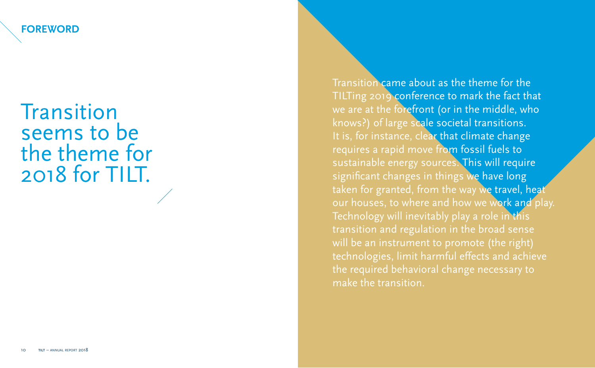**FOREWORD**

# **Transition** seems to be the theme for 2018 for TILT.

Transition came about as the theme for the TILTing 2019 conference to mark the fact that we are at the forefront (or in the middle, who knows?) of large scale societal transitions. It is, for instance, clear that climate change requires a rapid move from fossil fuels to sustainable energy sources. This will require significant changes in things we have long taken for granted, from the way we travel, heat our houses, to where and how we work and play. Technology will inevitably play a role in this transition and regulation in the broad sense will be an instrument to promote (the right) technologies, limit harmful effects and achieve the required behavioral change necessary to make the transition.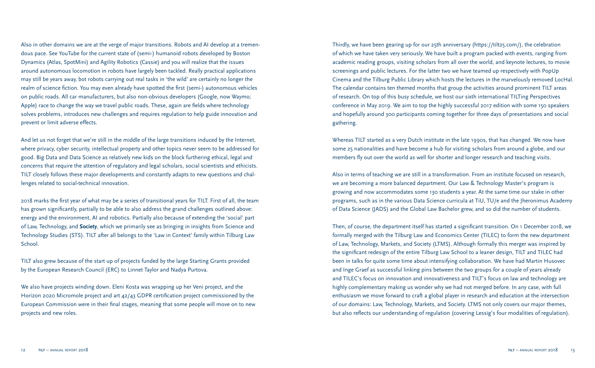Also in other domains we are at the verge of major transitions. Robots and AI develop at a tremendous pace. See YouTube for the current state of (semi-) humanoid robots developed by Boston Dynamics (Atlas, SpotMini) and Agility Robotics (Cassie) and you will realize that the issues around autonomous locomotion in robots have largely been tackled. Really practical applications may still be years away, bot robots carrying out real tasks in 'the wild' are certainly no longer the realm of science fiction. You may even already have spotted the first (semi-) autonomous vehicles on public roads. All car manufacturers, but also non-obvious developers (Google, now Waymo; Apple) race to change the way we travel public roads. These, again are fields where technology solves problems, introduces new challenges and requires regulation to help guide innovation and prevent or limit adverse effects.

And let us not forget that we're still in the middle of the large transitions induced by the Internet, where privacy, cyber security, intellectual property and other topics never seem to be addressed for good. Big Data and Data Science as relatively new kids on the block furthering ethical, legal and concerns that require the attention of regulatory and legal scholars, social scientists and ethicists. TILT closely follows these major developments and constantly adapts to new questions and challenges related to social-technical innovation.

2018 marks the first year of what may be a series of transitional years for TILT. First of all, the team has grown significantly, partially to be able to also address the grand challenges outlined above: energy and the environment, AI and robotics. Partially also because of extending the 'social' part of Law, Technology, and **Society**, which we primarily see as bringing in insights from Science and Technology Studies (STS). TILT after all belongs to the 'Law in Context' family within Tilburg Law School.

TILT also grew because of the start up of projects funded by the large Starting Grants provided by the European Research Council (ERC) to Linnet Taylor and Nadya Purtova.

We also have projects winding down. Eleni Kosta was wrapping up her Veni project, and the Horizon 2020 Micromole project and art 42/43 GDPR certification project commissioned by the European Commission were in their final stages, meaning that some people will move on to new projects and new roles.

Thirdly, we have been gearing up for our 25th anniversary (https://tilt25.com/), the celebration of which we have taken very seriously. We have built a program packed with events, ranging from academic reading groups, visiting scholars from all over the world, and keynote lectures, to movie screenings and public lectures. For the latter two we have teamed up respectively with PopUp Cinema and the Tilburg Public Library which hosts the lectures in the marvelously removed LocHal. The calendar contains ten themed months that group the activities around prominent TILT areas of research. On top of this busy schedule, we host our sixth international TILTing Perspectives conference in May 2019. We aim to top the highly successful 2017 edition with some 150 speakers and hopefully around 300 participants coming together for three days of presentations and social gathering.

Whereas TILT started as a very Dutch institute in the late 1990s, that has changed. We now have some 25 nationalities and have become a hub for visiting scholars from around a globe, and our members fly out over the world as well for shorter and longer research and teaching visits.

Also in terms of teaching we are still in a transformation. From an institute focused on research, we are becoming a more balanced department. Our Law & Technology Master's program is growing and now accommodates some 130 students a year. At the same time our stake in other programs, such as in the various Data Science curricula at TiU, TU/e and the Jheronimus Academy of Data Science (JADS) and the Global Law Bachelor grew, and so did the number of students.

Then, of course, the department itself has started a significant transition. On 1 December 2018, we formally merged with the Tilburg Law and Economics Center (TILEC) to form the new department of Law, Technology, Markets, and Society (LTMS). Although formally this merger was inspired by the significant redesign of the entire Tilburg Law School to a leaner design, TILT and TILEC had been in talks for quite some time about intensifying collaboration. We have had Martin Husovec and Inge Graef as successful linking pins between the two groups for a couple of years already and TILEC's focus on innovation and innovativeness and TILT's focus on law and technology are highly complementary making us wonder why we had not merged before. In any case, with full enthusiasm we move forward to craft a global player in research and education at the intersection of our domains: Law, Technology, Markets, and Society. LTMS not only covers our major themes, but also reflects our understanding of regulation (covering Lessig's four modalities of regulation).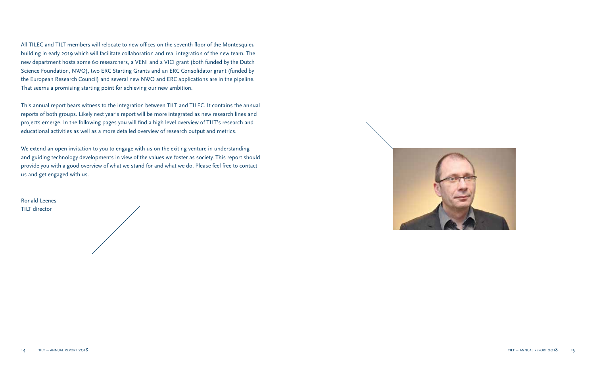All TILEC and TILT members will relocate to new offices on the seventh floor of the Montesquieu building in early 2019 which will facilitate collaboration and real integration of the new team. The new department hosts some 60 researchers, a VENI and a VICI grant (both funded by the Dutch Science Foundation, NWO), two ERC Starting Grants and an ERC Consolidator grant (funded by the European Research Council) and several new NWO and ERC applications are in the pipeline. That seems a promising starting point for achieving our new ambition.

This annual report bears witness to the integration between TILT and TILEC. It contains the annual reports of both groups. Likely next year's report will be more integrated as new research lines and projects emerge. In the following pages you will find a high level overview of TILT's research and educational activities as well as a more detailed overview of research output and metrics.

We extend an open invitation to you to engage with us on the exiting venture in understanding and guiding technology developments in view of the values we foster as society. This report should provide you with a good overview of what we stand for and what we do. Please feel free to contact us and get engaged with us.

Ronald Leenes TILT director

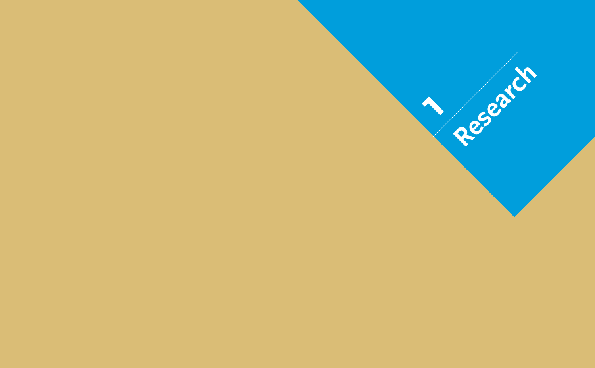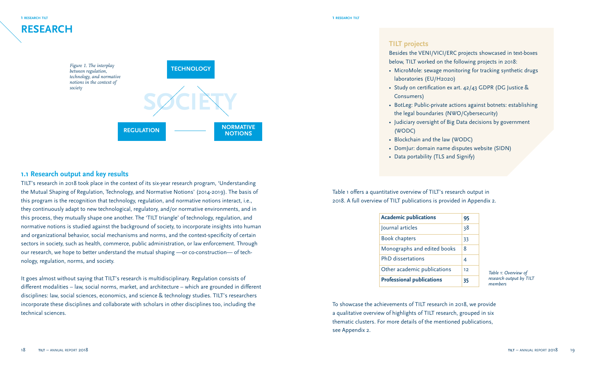

#### **1.1 Research output and key results**

TILT's research in 2018 took place in the context of its six-year research program, 'Understanding the Mutual Shaping of Regulation, Technology, and Normative Notions' (2014-2019). The basis of this program is the recognition that technology, regulation, and normative notions interact, i.e., they continuously adapt to new technological, regulatory, and/or normative environments, and in this process, they mutually shape one another. The 'TILT triangle' of technology, regulation, and normative notions is studied against the background of society, to incorporate insights into human and organizational behavior, social mechanisms and norms, and the context-specificity of certain sectors in society, such as health, commerce, public administration, or law enforcement. Through our research, we hope to better understand the mutual shaping —or co-construction— of technology, regulation, norms, and society.

It goes almost without saying that TILT's research is multidisciplinary. Regulation consists of different modalities – law, social norms, market, and architecture – which are grounded in different disciplines: law, social sciences, economics, and science & technology studies. TILT's researchers incorporate these disciplines and collaborate with scholars in other disciplines too, including the technical sciences.

#### **TILT projects**

Besides the VENI/VICI/ERC projects showcased in text-boxes below, TILT worked on the following projects in 2018:

- MicroMole: sewage monitoring for tracking synthetic drugs laboratories (EU/H2020)
- Study on certification ex art. 42/43 GDPR (DG Justice & Consumers)
- BotLeg: Public-private actions against botnets: establishing the legal boundaries (NWO/Cybersecurity)
- Judiciary oversight of Big Data decisions by government (WODC)
- Blockchain and the law (WODC)
- DomJur: domain name disputes website (SIDN)
- Data portability (TLS and Signify)

Table 1 offers a quantitative overview of TILT's research output in 2018. A full overview of TILT publications is provided in Appendix 2.

| <b>Academic publications</b>     | 95 |
|----------------------------------|----|
| Journal articles                 | 38 |
| <b>Book chapters</b>             | 33 |
| Monographs and edited books      | 8  |
| PhD dissertations                | 4  |
| Other academic publications      | 12 |
| <b>Professional publications</b> | 35 |

*Table 1: Overview of research output by TILT members*

To showcase the achievements of TILT research in 2018, we provide a qualitative overview of highlights of TILT research, grouped in six thematic clusters. For more details of the mentioned publications, see Appendix 2.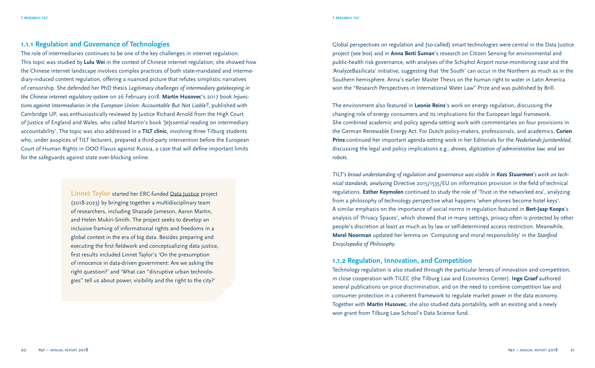#### **1.1.1 Regulation and Governance of Technologies**

The role of intermediaries continues to be one of the key challenges in internet regulation. This topic was studied by **Lulu Wei** in the context of Chinese internet regulation; she showed how the Chinese internet landscape involves complex practices of both state-mandated and intermediary-induced content regulation, offering a nuanced picture that refutes simplistic narratives of censorship. She defended her PhD thesis *Legitimacy challenges of intermediary gatekeeping in the Chinese internet regulatory system* on 26 February 2018. **Martin Husovec**'s 2017 book *Injunctions against Intermediaries in the European Union: Accountable But Not Liable?*, published with Cambridge UP, was enthusiastically reviewed by Justice Richard Arnold from the High Court of Justice of England and Wales, who called Martin's book '[e]ssential reading on intermediary accountability'. The topic was also addressed in a **TILT clinic**, involving three Tilburg students who, under auspices of TILT lecturers, prepared a third-party intervention before the European Court of Human Rights in OOO Flavus against Russia, a case that will define important limits for the safeguards against state over-blocking online.

> **Linnet Taylor** started her ERC-funded Data Justice project (2018-2023) by bringing together a multidisciplinary team of researchers, including Shazade Jameson, Aaron Martin, and Helen Mukiri-Smith. The project seeks to develop an inclusive framing of informational rights and freedoms in a global context in the era of big data. Besides preparing and executing the first fieldwork and conceptualizing data justice, first results included Linnet Taylor's 'On the presumption of innocence in data-driven government: Are we asking the right question?' and 'What can "disruptive urban technologies" tell us about power, visibility and the right to the city?'

Global perspectives on regulation and (so-called) smart technologies were central in the Data Justice project (see box) and in **Anna Berti Suman**'s research on Citizen Sensing for environmental and public-health risk governance, with analyses of the Schiphol Airport noise-monitoring case and the 'AnalyzeBasilicata' initiative, suggesting that 'the South' can occur in the Northern as much as in the Southern hemisphere. Anna's earlier Master Thesis on the human right to water in Latin America won the "Research Perspectives in International Water Law" Prize and was published by Brill.

The environment also featured in **Leonie Reins**'s work on energy regulation, discussing the changing role of energy consumers and its implications for the European legal framework. She combined academic and policy agenda-setting work with commentaries on four provisions in the German Renewable Energy Act. For Dutch policy-makers, professionals, and academics, **Corien Prins** continued her important agenda-setting work in her Editorials for the *Nederlands Juristenblad*, discussing the legal and policy implications e.g., *drones, digitization of administrative law, and sex robots*.

*TILT's broad understanding of regulation and governance was visible in Kees Stuurman's work on technical standards, analyzing* Directive 2015/1535/EU on information provision in the field of technical regulations. **Esther Keymolen** continued to study the role of 'Trust in the networked era', analyzing from a philosophy of technology perspective what happens 'when phones become hotel keys'. A similar emphasis on the importance of social norms in regulation featured in **Bert-Jaap Koops**'s analysis of 'Privacy Spaces', which showed that in many settings, privacy often is protected by other people's discretion at least as much as by law or self-determined access restriction. Meanwhile, **Merel Noorman** updated her lemma on 'Computing and moral responsibility' in the *Stanford Encyclopedia of Philosophy*.

#### **1.1.2 Regulation, Innovation, and Competition**

Technology regulation is also studied through the particular lenses of innovation and competition, in close cooperation with TILEC (the Tilburg Law and Economics Center). **Inge Graef** authored several publications on price discrimination, and on the need to combine competition law and consumer protection in a coherent framework to regulate market power in the data economy. Together with **Martin Husovec**, she also studied data portability, with an existing and a newly won grant from Tilburg Law School's Data Science fund.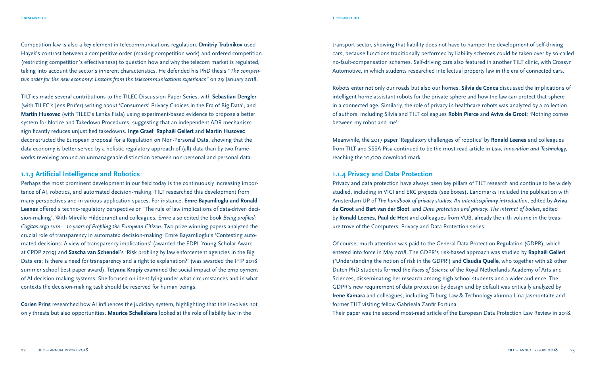Competition law is also a key element in telecommunications regulation. **Dmitriy Trubnikov** used Hayek's contrast between a competitive order (making competition work) and ordered competition (restricting competition's effectiveness) to question how and why the telecom market is regulated, taking into account the sector's inherent characteristics. He defended his PhD thesis *"The competitive order for the new economy: Lessons from the telecommunications experience"* on 29 January 2018.

TILTies made several contributions to the TILEC Discussion Paper Series, with **Sebastian Dengler** (with TILEC's Jens Prüfer) writing about 'Consumers' Privacy Choices in the Era of Big Data', and **Martin Husovec** (with TILEC's Lenka Fiala) using experiment-based evidence to propose a better system for Notice and Takedown Procedures, suggesting that an independent ADR mechanism significantly reduces unjustified takedowns. **Inge Graef**, **Raphaël Gellert** and **Martin Husovec** deconstructed the European proposal for a Regulation on Non-Personal Data, showing that the data economy is better served by a holistic regulatory approach of (all) data than by two frameworks revolving around an unmanageable distinction between non-personal and personal data.

#### **1.1.3 Artificial Intelligence and Robotics**

Perhaps the most prominent development in our field today is the continuously increasing importance of AI, robotics, and automated decision-making. TILT researched this development from many perspectives and in various application spaces. For instance, **Emre Bayamlioglu and Ronald Leenes** offered a techno-regulatory perspective on 'The rule of law implications of data-driven decision-making'. With Mireille Hildebrandt and colleagues, Emre also edited the book *Being profiled: Cogitas ergo sum—10 years of Profiling the European Citizen*. Two prize-winning papers analyzed the crucial role of transparency in automated decision-making: Emre Bayamlioglu's 'Contesting automated decisions: A view of transparency implications' (awarded the EDPL Young Scholar Award at CPDP 2019) and **Sascha van Schendel**'s 'Risk profiling by law enforcement agencies in the Big Data era: Is there a need for transparency and a right to explanation?' (was awarded the IFIP 2018 summer school best paper award). **Tetyana Krupiy** examined the social impact of the employment of AI decision-making systems. She focused on identifying under what circumstances and in what contexts the decision-making task should be reserved for human beings.

**Corien Prins** researched how AI influences the judiciary system, highlighting that this involves not only threats but also opportunities. **Maurice Schellekens** looked at the role of liability law in the

transport sector, showing that liability does not have to hamper the development of self-driving cars, because functions traditionally performed by liability schemes could be taken over by so-called no-fault-compensation schemes. Self-driving cars also featured in another TILT clinic, with Crossyn Automotive, in which students researched intellectual property law in the era of connected cars.

Robots enter not only our roads but also our homes. **Silvia de Conca** discussed the implications of intelligent home assistant robots for the private sphere and how the law can protect that sphere in a connected age. Similarly, the role of privacy in healthcare robots was analyzed by a collection of authors, including Silvia and TILT colleagues **Robin Pierce** and **Aviva de Groot**: 'Nothing comes between my robot and me'.

Meanwhile, the 2017 paper 'Regulatory challenges of robotics' by **Ronald Leenes** and colleagues from TILT and SSSA Pisa continued to be the most-read article in *Law, Innovation and Technology*, reaching the 10,000 download mark.

#### **1.1.4 Privacy and Data Protection**

Privacy and data protection have always been key pillars of TILT research and continue to be widely studied, including in VICI and ERC projects (see boxes). Landmarks included the publication with Amsterdam UP of *The handbook of privacy studies: An interdisciplinary introduction*, edited by **Aviva de Groot** and **Bart van der Sloot**, and *Data protection and privacy: The internet of bodies*, edited by **Ronald Leenes**, **Paul de Hert** and colleagues from VUB, already the 11th volume in the treasure-trove of the Computers, Privacy and Data Protection series.

Of course, much attention was paid to the General Data Protection Regulation (GDPR), which entered into force in May 2018. The GDPR's risk-based approach was studied by **Raphaël Gellert** ('Understanding the notion of risk in the GDPR') and **Claudia Quelle**, who together with 28 other Dutch PhD students formed the *Faces of Science* of the Royal Netherlands Academy of Arts and Sciences, disseminating her research among high school students and a wider audience. The GDPR's new requirement of data protection by design and by default was critically analyzed by **Irene Kamara** and colleagues, including Tilburg Law & Technology alumna Lina Jasmontaite and former TILT visiting fellow Gabrieala Zanfir Fortuna.

Their paper was the second most-read article of the European Data Protection Law Review in 2018.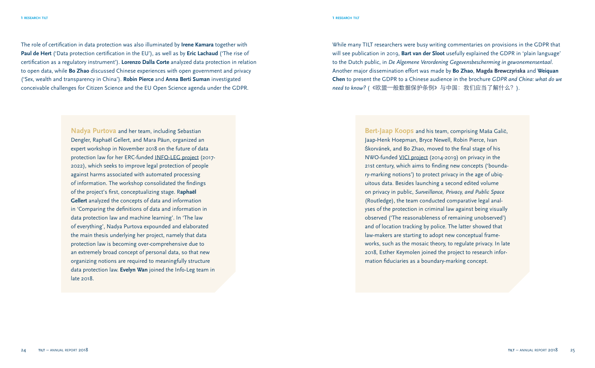The role of certification in data protection was also illuminated by **Irene Kamara** together with **Paul de Hert** ('Data protection certification in the EU'), as well as by **Eric Lachaud** ('The rise of certification as a regulatory instrument'). **Lorenzo Dalla Corte** analyzed data protection in relation to open data, while **Bo Zhao** discussed Chinese experiences with open government and privacy ('Sex, wealth and transparency in China'). **Robin Pierce** and **Anna Berti Suman** investigated conceivable challenges for Citizen Science and the EU Open Science agenda under the GDPR.

> **Nadya Purtova** and her team, including Sebastian Dengler, Raphaël Gellert, and Mara Păun, organized an expert workshop in November 2018 on the future of data protection law for her ERC-funded INFO-LEG project (2017- 2022), which seeks to improve legal protection of people against harms associated with automated processing of information. The workshop consolidated the findings of the project's first, conceptualizing stage. R**aphaël Gellert** analyzed the concepts of data and information in 'Comparing the definitions of data and information in data protection law and machine learning'. In 'The law of everything', Nadya Purtova expounded and elaborated the main thesis underlying her project, namely that data protection law is becoming over-comprehensive due to an extremely broad concept of personal data, so that new organizing notions are required to meaningfully structure data protection law. **Evelyn Wan** joined the Info-Leg team in late 2018.

While many TILT researchers were busy writing commentaries on provisions in the GDPR that will see publication in 2019, **Bart van der Sloot** usefully explained the GDPR in 'plain language' to the Dutch public, in *De Algemene Verordening Gegevensbescherming in gewonemensentaal*. Another major dissemination effort was made by **Bo Zhao**, **Magda Brewczy**ń**ska** and **Weiquan Chen** to present the GDPR to a Chinese audience in the brochure *GDPR and China: what do we need to know?* (《欧盟—般数据保护条例》与中国:我们应当了解什么?).

> **Bert-Jaap Koops** and his team, comprising Maša Galič, Jaap-Henk Hoepman, Bryce Newell, Robin Pierce, Ivan Škorvánek, and Bo Zhao, moved to the final stage of his NWO-funded VICI project (2014-2019) on privacy in the 21st century, which aims to finding new concepts ('boundary-marking notions') to protect privacy in the age of ubiquitous data. Besides launching a second edited volume on privacy in public, *Surveillance, Privacy, and Public Space* (Routledge), the team conducted comparative legal analyses of the protection in criminal law against being visually observed ('The reasonableness of remaining unobserved') and of location tracking by police. The latter showed that law-makers are starting to adopt new conceptual frameworks, such as the mosaic theory, to regulate privacy. In late 2018, Esther Keymolen joined the project to research information fiduciaries as a boundary-marking concept.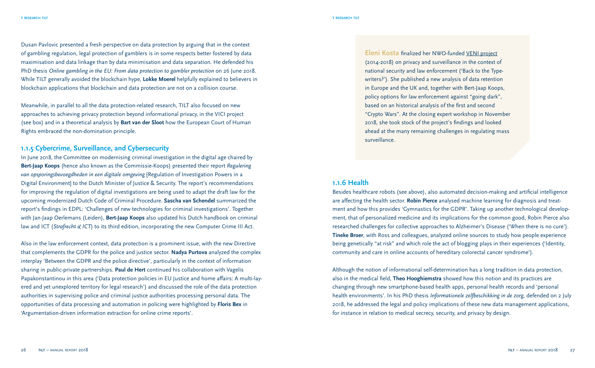Dusan Pavlovic presented a fresh perspective on data protection by arguing that in the context of gambling regulation, legal protection of gamblers is in some respects better fostered by data maximisation and data linkage than by data minimisation and data separation. He defended his PhD thesis *Online gambling in the EU: From data protection to gambler protection* on 26 June 2018. While TILT generally avoided the blockchain hype, **Lokke Moerel** helpfully explained to believers in blockchain applications that blockchain and data protection are not on a collision course.

Meanwhile, in parallel to all the data protection-related research, TILT also focused on new approaches to achieving privacy protection beyond informational privacy, in the VICI project (see box) and in a theoretical analysis by **Bart van der Sloot** how the European Court of Human Rights embraced the non-domination principle.

#### **1.1.5 Cybercrime, Surveillance, and Cybersecurity**

In June 2018, the Committee on modernising criminal investigation in the digital age chaired by **Bert-Jaap Koops** (hence also known as the Commissie-Koops) presented their report *Regulering van opsporingsbevoegdheden in een digitale omgeving* [Regulation of Investigation Powers in a Digital Environment] to the Dutch Minister of Justice & Security. The report's recommendations for improving the regulation of digital investigations are being used to adapt the draft law for the upcoming modernized Dutch Code of Criminal Procedure. **Sascha van Schendel** summarized the report's findings in EDPL: 'Challenges of new technologies for criminal investigations'. Together with Jan-Jaap Oerlemans (Leiden), **Bert-Jaap Koops** also updated his Dutch handbook on criminal law and ICT (*Strafrecht & ICT*) to its third edition, incorporating the new Computer Crime III Act.

Also in the law enforcement context, data protection is a prominent issue, with the new Directive that complements the GDPR for the police and justice sector. **Nadya Purtova** analyzed the complex interplay 'Between the GDPR and the police directive', particularly in the context of information sharing in public-private partnerships. **Paul de Hert** continued his collaboration with Vagelis Papakonstantinou in this area ('Data protection policies in EU Justice and home affairs: A multi-layered and yet unexplored territory for legal research') and discussed the role of the data protection authorities in supervising police and criminal justice authorities processing personal data. The opportunities of data processing and automation in policing were highlighted by **Floris Bex** in 'Argumentation-driven information extraction for online crime reports'.

**Eleni Kosta** finalized her NWO-funded VENI project (2014-2018) on privacy and surveillance in the context of national security and law enforcement ('Back to the Typewriters?'). She published a new analysis of data retention in Europe and the UK and, together with Bert-Jaap Koops, policy options for law enforcement against "going dark", based on an historical analysis of the first and second "Crypto Wars". At the closing expert workshop in November 2018, she took stock of the project's findings and looked ahead at the many remaining challenges in regulating mass surveillance.

#### **1.1.6 Health**

Besides healthcare robots (see above), also automated decision-making and artificial intelligence are affecting the health sector. **Robin Pierce** analysed machine learning for diagnosis and treatment and how this provides 'Gymnastics for the GDPR'. Taking up another technological development, that of personalized medicine and its implications for the common good, Robin Pierce also researched challenges for collective approaches to Alzheimer's Disease ('When there is no cure'). **Tineke Broer**, with Ross and colleagues, analyzed online sources to study how people experience being genetically "at risk" and which role the act of blogging plays in their experiences ('Identity, community and care in online accounts of hereditary colorectal cancer syndrome').

Although the notion of informational self-determination has a long tradition in data protection, also in the medical field, **Theo Hooghiemstra** showed how this notion and its practices are changing through new smartphone-based health apps, personal health records and 'personal health environments'. In his PhD thesis *Informationele zelfbeschikking in de zorg*, defended on 2 July 2018, he addressed the legal and policy implications of these new data management applications, for instance in relation to medical secrecy, security, and privacy by design.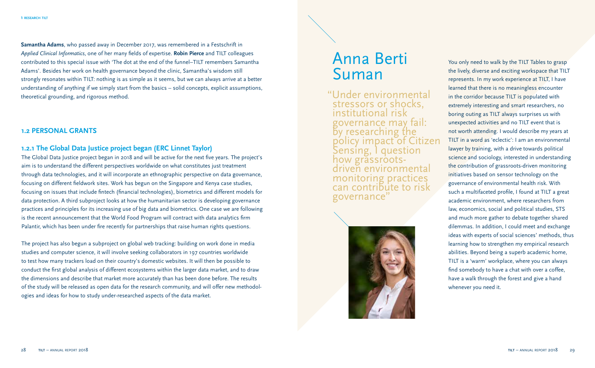**Samantha Adams**, who passed away in December 2017, was remembered in a Festschrift in *Applied Clinical Informatics*, one of her many fields of expertise. **Robin Pierce** and TILT colleagues contributed to this special issue with 'The dot at the end of the funnel–TILT remembers Samantha Adams'. Besides her work on health governance beyond the clinic, Samantha's wisdom still strongly resonates within TILT: nothing is as simple as it seems, but we can always arrive at a better understanding of anything if we simply start from the basics – solid concepts, explicit assumptions, theoretical grounding, and rigorous method.

#### **1.2 PERSONAL GRANTS**

#### **1.2.1 The Global Data Justice project began (ERC Linnet Taylor)**

The Global Data Justice project began in 2018 and will be active for the next five years. The project's aim is to understand the different perspectives worldwide on what constitutes just treatment through data technologies, and it will incorporate an ethnographic perspective on data governance, focusing on different fieldwork sites. Work has begun on the Singapore and Kenya case studies, focusing on issues that include fintech (financial technologies), biometrics and different models for data protection. A third subproject looks at how the humanitarian sector is developing governance practices and principles for its increasing use of big data and biometrics. One case we are following is the recent announcement that the World Food Program will contract with data analytics firm Palantir, which has been under fire recently for partnerships that raise human rights questions.

The project has also begun a subproject on global web tracking: building on work done in media studies and computer science, it will involve seeking collaborators in 197 countries worldwide to test how many trackers load on their country's domestic websites. It will then be possible to conduct the first global analysis of different ecosystems within the larger data market, and to draw the dimensions and describe that market more accurately than has been done before. The results of the study will be released as open data for the research community, and will offer new methodologies and ideas for how to study under-researched aspects of the data market.

## Anna Berti Suman

"Under environmental stressors or shocks, institutional risk governance may fail: by researching the policy impact of Citizen Sensing, I question how grassrootsdriven environmental monitoring practices can contribute to risk governance"



You only need to walk by the TILT Tables to grasp the lively, diverse and exciting workspace that TILT represents. In my work experience at TILT, I have learned that there is no meaningless encounter in the corridor because TILT is populated with extremely interesting and smart researchers, no boring outing as TILT always surprises us with unexpected activities and no TILT event that is not worth attending. I would describe my years at TILT in a word as 'eclectic': I am an environmental lawyer by training, with a drive towards political science and sociology, interested in understanding the contribution of grassroots-driven monitoring initiatives based on sensor technology on the governance of environmental health risk. With such a multifaceted profile, I found at TILT a great academic environment, where researchers from law, economics, social and political studies, STS and much more gather to debate together shared dilemmas. In addition, I could meet and exchange ideas with experts of social sciences' methods, thus learning how to strengthen my empirical research abilities. Beyond being a superb academic home, TILT is a 'warm' workplace, where you can always find somebody to have a chat with over a coffee, have a walk through the forest and give a hand whenever you need it.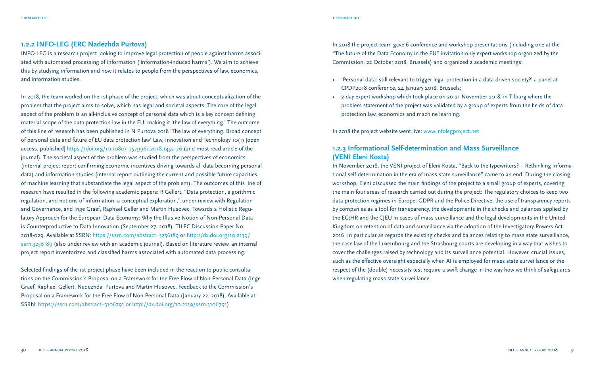#### **1.2.2 INFO-LEG (ERC Nadezhda Purtova)**

INFO-LEG is a research project looking to improve legal protection of people against harms associated with automated processing of information ('information-induced harms'). We aim to achieve this by studying information and how it relates to people from the perspectives of law, economics, and information studies.

In 2018, the team worked on the 1st phase of the project, which was about conceptualization of the problem that the project aims to solve, which has legal and societal aspects. The core of the legal aspect of the problem is an all-inclusive concept of personal data which is a key concept defining material scope of the data protection law in the EU, making it 'the law of everything.' The outcome of this line of research has been published in N Purtova 2018 'The law of everything. Broad concept of personal data and future of EU data protection law' Law, Innovation and Technology 10(1) [open access, published] https://doi.org/10.1080/17579961.2018.1452176 (2nd most read article of the journal). The societal aspect of the problem was studied from the perspectives of economics (internal project report confirming economic incentives driving towards all data becoming personal data) and information studies (internal report outlining the current and possible future capacities of machine learning that substantiate the legal aspect of the problem). The outcomes of this line of research have resulted in the following academic papers: R Gellert, "Data protection, algorithmic regulation, and notions of information: a conceptual exploration," under review with Regulation and Governance, and Inge Graef, Raphael Geller and Martin Husovec, Towards a Holistic Regulatory Approach for the European Data Economy: Why the Illusive Notion of Non-Personal Data is Counterproductive to Data Innovation (September 27, 2018). TILEC Discussion Paper No. 2018-029. Available at SSRN: https://ssrn.com/abstract=3256189 or http://dx.doi.org/10.2139/ ssrn.3256189 (also under review with an academic journal). Based on literature review, an internal project report inventorized and classified harms associated with automated data processing.

Selected findings of the 1st project phase have been included in the reaction to public consultations on the Commission's Proposal on a Framework for the Free Flow of Non-Personal Data (Inge Graef, Raphael Gellert, Nadezhda Purtova and Martin Husovec, Feedback to the Commission's Proposal on a Framework for the Free Flow of Non-Personal Data (January 22, 2018). Available at SSRN: https://ssrn.com/abstract=3106791 or http://dx.doi.org/10.2139/ssrn.3106791)

In 2018 the project team gave 6 conference and workshop presentations (including one at the "The future of the Data Economy in the EU" invitation-only expert workshop organized by the Commission, 22 October 2018, Brussels) and organized 2 academic meetings:

- 'Personal data: still relevant to trigger legal protection in a data-driven society?' a panel at CPDP2018 conference, 24 January 2018, Brussels;
- 2-day expert workshop which took place on 20-21 November 2018, in Tilburg where the problem statement of the project was validated by a group of experts from the fields of data protection law, economics and machine learning.

In 2018 the project website went live: www.infolegproject.net

#### **1.2.3 Informational Self-determination and Mass Surveillance (VENI Eleni Kosta)**

In November 2018, the VENI project of Eleni Kosta, "Back to the typewriters? – Rethinking informational self-determination in the era of mass state surveillance" came to an end. During the closing workshop, Eleni discussed the main findings of the project to a small group of experts, covering the main four areas of research carried out during the project: The regulatory choices to keep two data protection regimes in Europe: GDPR and the Police Directive, the use of transparency reports by companies as a tool for transparency, the developments in the checks and balances applied by the ECtHR and the CJEU in cases of mass surveillance and the legal developments in the United Kingdom on retention of data and surveillance via the adoption of the Investigatory Powers Act 2016. In particular as regards the existing checks and balances relating to mass state surveillance, the case law of the Luxembourg and the Strasbourg courts are developing in a way that wishes to cover the challenges raised by technology and its surveillance potential. However, crucial issues, such as the effective oversight especially when AI is employed for mass state surveillance or the respect of the (double) necessity test require a swift change in the way how we think of safeguards when regulating mass state surveillance.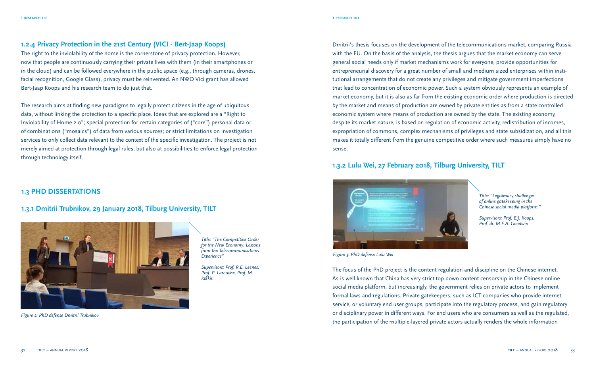#### **1.2.4 Privacy Protection in the 21st Century (VICI - Bert-Jaap Koops)**

The right to the inviolability of the home is the cornerstone of privacy protection. However, now that people are continuously carrying their private lives with them (in their smartphones or in the cloud) and can be followed everywhere in the public space (e.g., through cameras, drones, facial recognition, Google Glass), privacy must be reinvented. An NWO Vici grant has allowed Bert-Jaap Koops and his research team to do just that.

The research aims at finding new paradigms to legally protect citizens in the age of ubiquitous data, without linking the protection to a specific place. Ideas that are explored are a "Right to Inviolability of Home 2.0"; special protection for certain categories of ("core") personal data or of combinations ("mosaics") of data from various sources; or strict limitations on investigation services to only collect data relevant to the context of the specific investigation. The project is not merely aimed at protection through legal rules, but also at possibilities to enforce legal protection through technology itself.

#### **1.3 PHD DISSERTATIONS**

#### **1.3.1 Dmitrii Trubnikov, 29 January 2018, Tilburg University, TILT**



*Figure 2: PhD defense Dmitrii Trubnikov*

*Title: "The Competitive Order for the New Economy: Lessons from the Telecommunications Experience"*

*Supervisors: Prof. R.E. Leenes, Prof. P. Larouche, Prof. M. Kiškis.*

Dmitrii's thesis focuses on the development of the telecommunications market, comparing Russia with the EU. On the basis of the analysis, the thesis argues that the market economy can serve general social needs only if market mechanisms work for everyone, provide opportunities for entrepreneurial discovery for a great number of small and medium sized enterprises within institutional arrangements that do not create any privileges and mitigate government imperfections that lead to concentration of economic power. Such a system obviously represents an example of market economy, but it is also as far from the existing economic order where production is directed by the market and means of production are owned by private entities as from a state controlled economic system where means of production are owned by the state. The existing economy, despite its market nature, is based on regulation of economic activity, redistribution of incomes, expropriation of commons, complex mechanisms of privileges and state subsidization, and all this makes it totally different from the genuine competitive order where such measures simply have no sense.

#### **1.3.2 Lulu Wei, 27 February 2018, Tilburg University, TILT**



*Title: "Legitimacy challenges of online gatekeeping in the Chinese social media platform."*

*Supervisors: Prof. E.J. Koops, Prof. dr. M.E.A. Goodwin*

*Figure 3: PhD defense Lulu Wei*

The focus of the PhD project is the content regulation and discipline on the Chinese internet. As is well-known that China has very strict top-down content censorship in the Chinese online social media platform, but increasingly, the government relies on private actors to implement formal laws and regulations. Private gatekeepers, such as ICT companies who provide internet service, or voluntary end user groups, participate into the regulatory process, and gain regulatory or disciplinary power in different ways. For end users who are consumers as well as the regulated, the participation of the multiple-layered private actors actually renders the whole information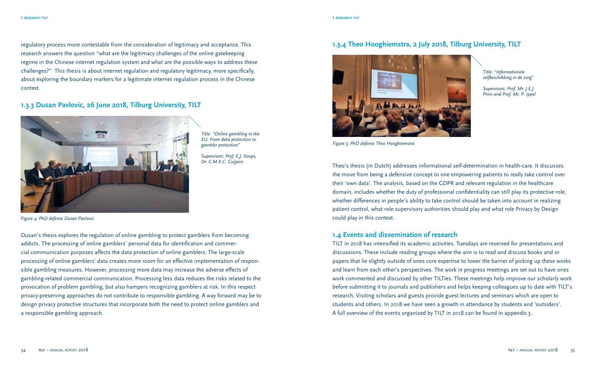regulatory process more contestable from the consideration of legitimacy and acceptance. This research answers the question "what are the legitimacy challenges of the online gatekeeping regime in the Chinese internet regulation system and what are the possible ways to address these challenges?" This thesis is about internet regulation and regulatory legitimacy, more specifically, about exploring the boundary markers for a legitimate internet regulation process in the Chinese context.

#### **1.3.3 Dusan Pavlovic, 26 June 2018, Tilburg University, TILT**



*Title: "Online gambling in the EU: From data protection to gambler protection"*

*Supervisors: Prof. E.J. Koops, Dr. C.M.K.C. Cuijpers*

*Figure 4: PhD defense Dusan Pavlovic*

Dusan's thesis explores the regulation of online gambling to protect gamblers from becoming addicts. The processing of online gamblers' personal data for identification and commercial communication purposes affects the data protection of online gamblers. The large-scale processing of online gamblers' data creates more room for an effective implementation of responsible gambling measures. However, processing more data may increase the adverse effects of gambling-related commercial communication. Processing less data reduces the risks related to the provocation of problem gambling, but also hampers recognizing gamblers at risk. In this respect privacy-preserving approaches do not contribute to responsible gambling. A way forward may be to design privacy protective structures that incorporate both the need to protect online gamblers and a responsible gambling approach.

#### **1.3.4 Theo Hooghiemstra, 2 July 2018, Tilburg University, TILT**



*Title: "Informationele zelfbeschikking in de zorg"*

*Supervisors: Prof. Mr. J.E.J. Prins and Prof. Mr. P. Ippel*

*Figure 5: PhD defense Theo Hooghiemstra*

Theo's thesis (in Dutch) addresses informational self-determination in health-care. It discusses the move from being a defensive concept to one empowering patients to really take control over their 'own data'. The analysis, based on the GDPR and relevant regulation in the healthcare domain, includes whether the duty of professional confidentiality can still play its protective role, whether differences in people's ability to take control should be taken into account in realizing patient control, what role supervisory authorities should play and what role Privacy by Design could play in this context.

#### **1.4 Events and dissemination of research**

TILT in 2018 has intensified its academic activities. Tuesdays are reserved for presentations and discussions. These include reading groups where the aim is to read and discuss books and or papers that lie slightly outside of ones core expertise to lower the barrier of picking up these works and learn from each other's perspectives. The work in progress meetings are set out to have ones work commented and discussed by other TILTies. These meetings help improve our scholarly work before submitting it to journals and publishers and helps keeping colleagues up to date with TILT's research. Visiting scholars and guests provide guest lectures and seminars which are open to students and others. In 2018 we have seen a growth in attendance by students and 'outsiders'. A full overview of the events organized by TILT in 2018 can be found in appendix 3.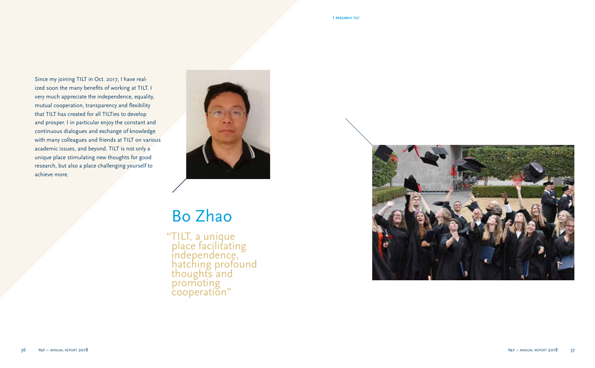Since my joining TILT in Oct. 2017, I have realized soon the many benefits of working at TILT. I very much appreciate the independence, equality, mutual cooperation, transparency and flexibility that TILT has created for all TILTies to develop and prosper. I in particular enjoy the constant and continuous dialogues and exchange of knowledge with many colleagues and friends at TILT on various academic issues, and beyond. TILT is not only a unique place stimulating new thoughts for good research, but also a place challenging yourself to achieve more.



# Bo Zhao

"TILT, a unique place facilitating independence, hatching profound thoughts and promoting cooperation"

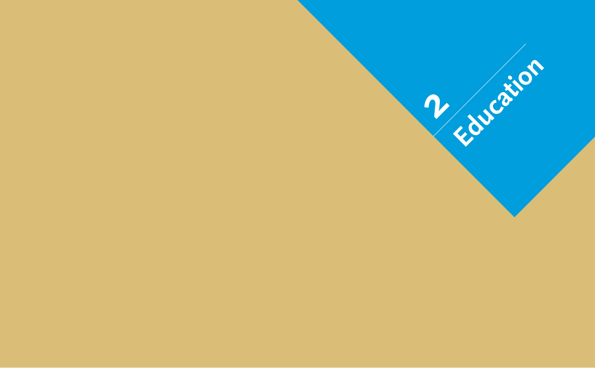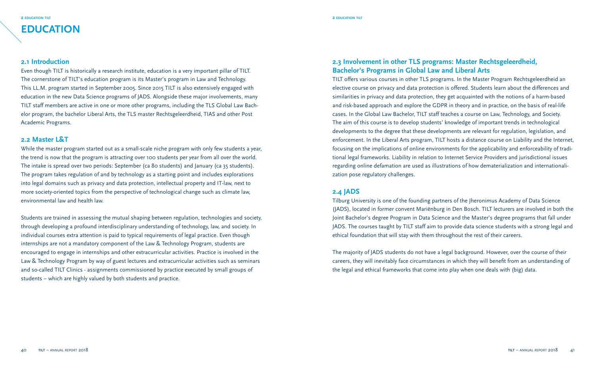#### **2 education tilt 2 education tilt**

#### **2.1 Introduction**

Even though TILT is historically a research institute, education is a very important pillar of TILT. The cornerstone of TILT's education program is its Master's program in Law and Technology. This LL.M. program started in September 2005. Since 2015 TILT is also extensively engaged with education in the new Data Science programs of JADS. Alongside these major involvements, many TILT staff members are active in one or more other programs, including the TLS Global Law Bachelor program, the bachelor Liberal Arts, the TLS master Rechtsgeleerdheid, TIAS and other Post Academic Programs.

#### **2.2 Master L&T**

While the master program started out as a small-scale niche program with only few students a year, the trend is now that the program is attracting over 100 students per year from all over the world. The intake is spread over two periods: September (ca 80 students) and January (ca 35 students). The program takes regulation of and by technology as a starting point and includes explorations into legal domains such as privacy and data protection, intellectual property and IT-law, next to more society-oriented topics from the perspective of technological change such as climate law, environmental law and health law.

Students are trained in assessing the mutual shaping between regulation, technologies and society, through developing a profound interdisciplinary understanding of technology, law, and society. In individual courses extra attention is paid to typical requirements of legal practice. Even though internships are not a mandatory component of the Law & Technology Program, students are encouraged to engage in internships and other extracurricular activities. Practice is involved in the Law & Technology Program by way of guest lectures and extracurricular activities such as seminars and so-called TILT Clinics - assignments commissioned by practice executed by small groups of students – which are highly valued by both students and practice.

#### **2.3 Involvement in other TLS programs: Master Rechtsgeleerdheid, Bachelor's Programs in Global Law and Liberal Arts**

TILT offers various courses in other TLS programs. In the Master Program Rechtsgeleerdheid an elective course on privacy and data protection is offered. Students learn about the differences and similarities in privacy and data protection, they get acquainted with the notions of a harm-based and risk-based approach and explore the GDPR in theory and in practice, on the basis of real-life cases. In the Global Law Bachelor, TILT staff teaches a course on Law, Technology, and Society. The aim of this course is to develop students' knowledge of important trends in technological developments to the degree that these developments are relevant for regulation, legislation, and enforcement. In the Liberal Arts program, TILT hosts a distance course on Liability and the Internet, focusing on the implications of online environments for the applicability and enforceability of traditional legal frameworks. Liability in relation to Internet Service Providers and jurisdictional issues regarding online defamation are used as illustrations of how dematerialization and internationalization pose regulatory challenges.

#### **2.4 JADS**

Tilburg University is one of the founding partners of the Jheronimus Academy of Data Science (JADS), located in former convent Mariënburg in Den Bosch. TILT lecturers are involved in both the Joint Bachelor's degree Program in Data Science and the Master's degree programs that fall under JADS. The courses taught by TILT staff aim to provide data science students with a strong legal and ethical foundation that will stay with them throughout the rest of their careers.

The majority of JADS students do not have a legal background. However, over the course of their careers, they will inevitably face circumstances in which they will benefit from an understanding of the legal and ethical frameworks that come into play when one deals with (big) data.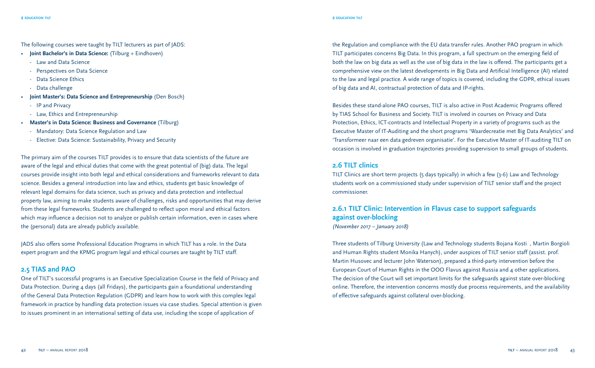The following courses were taught by TILT lecturers as part of JADS:

- **Joint Bachelor's in Data Science:** (Tilburg + Eindhoven)
	- Law and Data Science
	- Perspectives on Data Science
	- Data Science Ethics
	- Data challenge
- **Joint Master's: Data Science and Entrepreneurship** (Den Bosch)
	- IP and Privacy
	- Law, Ethics and Entrepreneurship
- **Master's in Data Science: Business and Governance** (Tilburg)
	- Mandatory: Data Science Regulation and Law
	- Elective: Data Science: Sustainability, Privacy and Security

The primary aim of the courses TILT provides is to ensure that data scientists of the future are aware of the legal and ethical duties that come with the great potential of (big) data. The legal courses provide insight into both legal and ethical considerations and frameworks relevant to data science. Besides a general introduction into law and ethics, students get basic knowledge of relevant legal domains for data science, such as privacy and data protection and intellectual property law, aiming to make students aware of challenges, risks and opportunities that may derive from these legal frameworks. Students are challenged to reflect upon moral and ethical factors which may influence a decision not to analyze or publish certain information, even in cases where the (personal) data are already publicly available.

JADS also offers some Professional Education Programs in which TILT has a role. In the Data expert program and the KPMG program legal and ethical courses are taught by TILT staff.

#### **2.5 TIAS and PAO**

One of TILT's successful programs is an Executive Specialization Course in the field of Privacy and Data Protection. During 4 days (all Fridays), the participants gain a foundational understanding of the General Data Protection Regulation (GDPR) and learn how to work with this complex legal framework in practice by handling data protection issues via case studies. Special attention is given to issues prominent in an international setting of data use, including the scope of application of

the Regulation and compliance with the EU data transfer rules. Another PAO program in which TILT participates concerns Big Data. In this program, a full spectrum on the emerging field of both the law on big data as well as the use of big data in the law is offered. The participants get a comprehensive view on the latest developments in Big Data and Artificial Intelligence (AI) related to the law and legal practice. A wide range of topics is covered, including the GDPR, ethical issues of big data and AI, contractual protection of data and IP-rights.

Besides these stand-alone PAO courses, TILT is also active in Post Academic Programs offered by TIAS School for Business and Society. TILT is involved in courses on Privacy and Data Protection, Ethics, ICT-contracts and Intellectual Property in a variety of programs such as the Executive Master of IT-Auditing and the short programs 'Waardecreatie met Big Data Analytics' and 'Transformeer naar een data gedreven organisatie'. For the Executive Master of IT-auditing TILT on occasion is involved in graduation trajectories providing supervision to small groups of students.

#### **2.6 TILT clinics**

TILT Clinics are short term projects (5 days typically) in which a few (3-6) Law and Technology students work on a commissioned study under supervision of TILT senior staff and the project commissioner.

#### **2.6.1 TILT Clinic: Intervention in Flavus case to support safeguards against over-blocking** *(November 2017 – January 2018)*

Three students of Tilburg University (Law and Technology students Bojana Kosti, Martin Borgioli and Human Rights student Monika Hanych), under auspices of TILT senior staff (assist. prof. Martin Husovec and lecturer John Waterson), prepared a third-party intervention before the European Court of Human Rights in the OOO Flavus against Russia and 4 other applications. The decision of the Court will set important limits for the safeguards against state over-blocking online. Therefore, the intervention concerns mostly due process requirements, and the availability of effective safeguards against collateral over-blocking.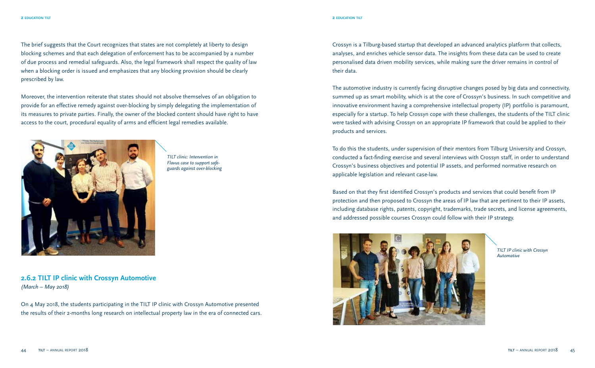The brief suggests that the Court recognizes that states are not completely at liberty to design blocking schemes and that each delegation of enforcement has to be accompanied by a number of due process and remedial safeguards. Also, the legal framework shall respect the quality of law when a blocking order is issued and emphasizes that any blocking provision should be clearly prescribed by law.

Moreover, the intervention reiterate that states should not absolve themselves of an obligation to provide for an effective remedy against over-blocking by simply delegating the implementation of its measures to private parties. Finally, the owner of the blocked content should have right to have access to the court, procedural equality of arms and efficient legal remedies available.



*TILT clinic: Intervention in Flavus case to support safeguards against over-blocking*

**2.6.2 TILT IP clinic with Crossyn Automotive**  *(March – May 2018)*

On 4 May 2018, the students participating in the TILT IP clinic with Crossyn Automotive presented the results of their 2-months long research on intellectual property law in the era of connected cars. Crossyn is a Tilburg-based startup that developed an advanced analytics platform that collects, analyses, and enriches vehicle sensor data. The insights from these data can be used to create personalised data driven mobility services, while making sure the driver remains in control of their data.

The automotive industry is currently facing disruptive changes posed by big data and connectivity, summed up as smart mobility, which is at the core of Crossyn's business. In such competitive and innovative environment having a comprehensive intellectual property (IP) portfolio is paramount, especially for a startup. To help Crossyn cope with these challenges, the students of the TILT clinic were tasked with advising Crossyn on an appropriate IP framework that could be applied to their products and services.

To do this the students, under supervision of their mentors from Tilburg University and Crossyn, conducted a fact-finding exercise and several interviews with Crossyn staff, in order to understand Crossyn's business objectives and potential IP assets, and performed normative research on applicable legislation and relevant case-law.

Based on that they first identified Crossyn's products and services that could benefit from IP protection and then proposed to Crossyn the areas of IP law that are pertinent to their IP assets, including database rights, patents, copyright, trademarks, trade secrets, and license agreements, and addressed possible courses Crossyn could follow with their IP strategy.



*TILT IP clinic with Crossyn Automative*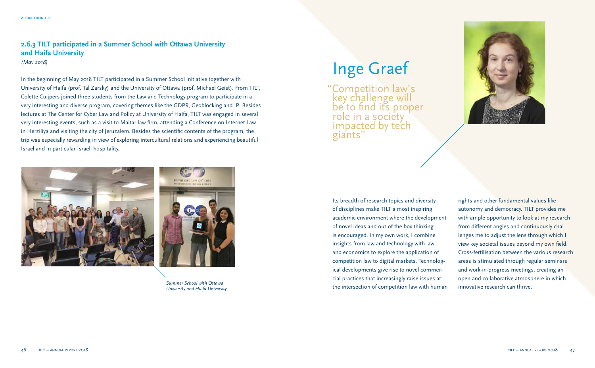#### **2.6.3 TILT participated in a Summer School with Ottawa University and Haifa University** *(May 2018)*

In the beginning of May 2018 TILT participated in a Summer School initiative together with University of Haifa (prof. Tal Zarsky) and the University of Ottawa (prof. Michael Geist). From TILT, Colette Cuijpers joined three students from the Law and Technology program to participate in a very interesting and diverse program, covering themes like the GDPR, Geoblocking and IP. Besides lectures at The Center for Cyber Law and Policy at University of Haifa, TILT was engaged in several very interesting events, such as a visit to Maitar law firm, attending a Conference on Internet Law in Herziliya and visiting the city of Jeruzalem. Besides the scientific contents of the program, the trip was especially rewarding in view of exploring intercultural relations and experiencing beautiful Israel and in particular Israeli hospitality.



*Summer School with Ottawa University and Haifa University*

# Inge Graef

"Competition law's key challenge will be to find its proper role in a society impacted by tech giants"



Its breadth of research topics and diversity of disciplines make TILT a most inspiring academic environment where the development of novel ideas and out-of-the-box thinking is encouraged. In my own work, I combine insights from law and technology with law and economics to explore the application of competition law to digital markets. Technological developments give rise to novel commercial practices that increasingly raise issues at the intersection of competition law with human

rights and other fundamental values like autonomy and democracy. TILT provides me with ample opportunity to look at my research from different angles and continuously challenges me to adjust the lens through which I view key societal issues beyond my own field. Cross-fertilisation between the various research areas is stimulated through regular seminars and work-in-progress meetings, creating an open and collaborative atmosphere in which innovative research can thrive.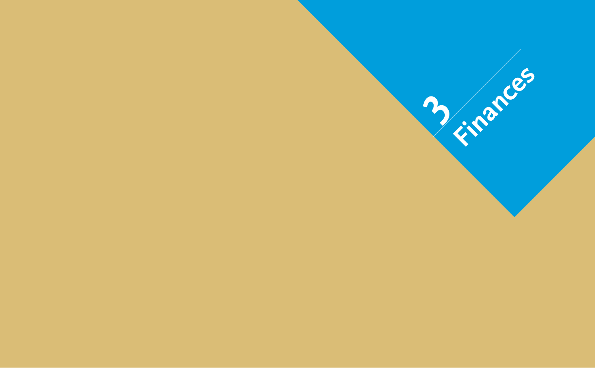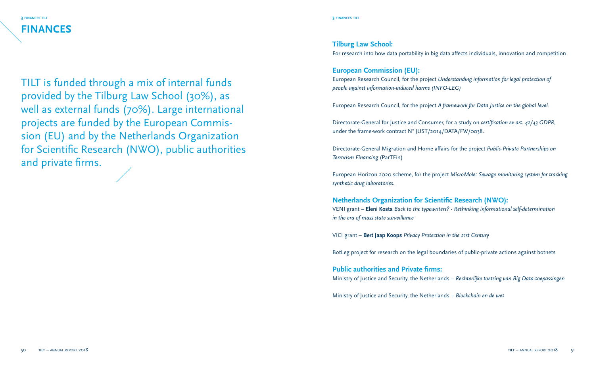**3 finances tilt 3 finances tilt FINANCES**

TILT is funded through a mix of internal funds provided by the Tilburg Law School (30%), as well as external funds (70%). Large international projects are funded by the European Commission (EU) and by the Netherlands Organization for Scientific Research (NWO), public authorities and private firms.

#### **Tilburg Law School:**

For research into how data portability in big data affects individuals, innovation and competition

### **European Commission (EU):**

European Research Council, for the project *Understanding information for legal protection of people against information-induced harms (INFO-LEG)*

European Research Council, for the project *A framework for Data Justice on the global level.*

Directorate-General for Justice and Consumer, for a study on *certification ex art. 42/43 GDPR*, under the frame-work contract N° JUST/2014/DATA/FW/0038.

Directorate-General Migration and Home affairs for the project *Public-Private Partnerships on Terrorism Financing* (ParTFin)

European Horizon 2020 scheme, for the project *MicroMole: Sewage monitoring system for tracking synthetic drug laboratories.*

#### **Netherlands Organization for Scientific Research (NWO):**

VENI grant – **Eleni Kosta** *Back to the typewriters? - Rethinking informational self-determination in the era of mass state surveillance*

VICI grant – **Bert Jaap Koops** *Privacy Protection in the 21st Century*

BotLeg project for research on the legal boundaries of public-private actions against botnets

**Public authorities and Private firms:** Ministry of Justice and Security, the Netherlands – *Rechterlijke toetsing van Big Data-toepassingen*

Ministry of Justice and Security, the Netherlands – *Blockchain en de wet*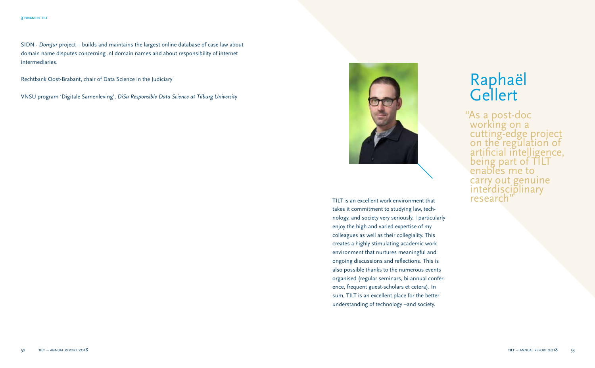SIDN - *DomJur* project – builds and maintains the largest online database of case law about domain name disputes concerning .nl domain names and about responsibility of internet intermediaries.

Rechtbank Oost-Brabant, chair of Data Science in the Judiciary

VNSU program 'Digitale Samenleving', *DiSa Responsible Data Science at Tilburg University*



TILT is an excellent work environment that takes it commitment to studying law, technology, and society very seriously. I particularly enjoy the high and varied expertise of my colleagues as well as their collegiality. This creates a highly stimulating academic work environment that nurtures meaningful and ongoing discussions and reflections. This is also possible thanks to the numerous events organised (regular seminars, bi-annual conference, frequent guest-scholars et cetera). In sum, TILT is an excellent place for the better understanding of technology –and society.

# Raphaël **Gellert**

"As a post-doc working on a cutting-edge project on the regulation of artificial intelligence, being part of  $\Pi$ L enables me to carry out genuine interdisciplinary research"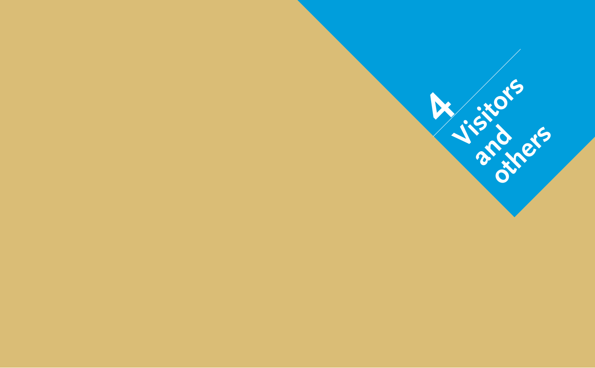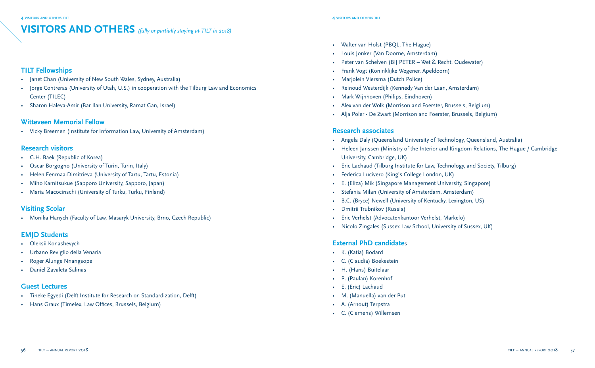## **VISITORS AND OTHERS** *(fully or partially staying at TILT in 2018)*

### **TILT Fellowships**

- Janet Chan (University of New South Wales, Sydney, Australia)
- Jorge Contreras (University of Utah, U.S.) in cooperation with the Tilburg Law and Economics Center (TILEC)
- Sharon Haleva-Amir (Bar Ilan University, Ramat Gan, Israel)

#### **Witteveen Memorial Fellow**

• Vicky Breemen (Institute for Information Law, University of Amsterdam)

#### **Research visitors**

- G.H. Baek (Republic of Korea)
- Oscar Borgogno (University of Turin, Turin, Italy)
- Helen Eenmaa-Dimitrieva (University of Tartu, Tartu, Estonia)
- Miho Kamitsukue (Sapporo University, Sapporo, Japan)
- Maria Macocinschi (University of Turku, Turku, Finland)

### **Visiting Scolar**

• Monika Hanych (Faculty of Law, Masaryk University, Brno, Czech Republic)

### **EMJD Students**

- Oleksii Konashevych
- Urbano Reviglio della Venaria
- Roger Alunge Nnangsope
- Daniel Zavaleta Salinas

### **Guest Lectures**

- Tineke Egyedi (Delft Institute for Research on Standardization, Delft)
- Hans Graux (Timelex, Law Offices, Brussels, Belgium)
- Walter van Holst (PBQL, The Hague)
- Louis Jonker (Van Doorne, Amsterdam)
- Peter van Schelven (BIJ PETER Wet & Recht, Oudewater)
- Frank Vogt (Koninklijke Wegener, Apeldoorn)
- Marjolein Viersma (Dutch Police)
- Reinoud Westerdijk (Kennedy Van der Laan, Amsterdam)
- Mark Wijnhoven (Philips, Eindhoven)
- Alex van der Wolk (Morrison and Foerster, Brussels, Belgium)
- Alja Poler De Zwart (Morrison and Foerster, Brussels, Belgium)

### **Research associates**

- Angela Daly (Queensland University of Technology, Queensland, Australia)
- Heleen Janssen (Ministry of the Interior and Kingdom Relations, The Hague / Cambridge University, Cambridge, UK)
- Eric Lachaud (Tilburg Institute for Law, Technology, and Society, Tilburg)
- Federica Lucivero (King's College London, UK)
- E. (Eliza) Mik (Singapore Management University, Singapore)
- Stefania Milan (University of Amsterdam, Amsterdam)
- B.C. (Bryce) Newell (University of Kentucky, Lexington, US)
- Dmitrii Trubnikov (Russia)
- Eric Verhelst (Advocatenkantoor Verhelst, Markelo)
- Nicolo Zingales (Sussex Law School, University of Sussex, UK)

### **External PhD candidate**s

- K. (Katia) Bodard
- C. (Claudia) Boekestein
- H. (Hans) Buitelaar
- P. (Paulan) Korenhof
- E. (Eric) Lachaud
- M. (Manuella) van der Put
- A. (Arnout) Terpstra
- C. (Clemens) Willemsen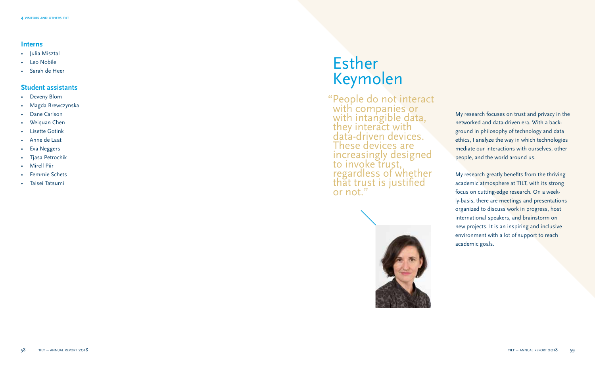#### **Interns**

- Julia Misztal
- Leo Nobile
- Sarah de Heer

#### **Student assistants**

- Deveny Blom
- Magda Brewczynska
- Dane Carlson
- Weiquan Chen
- Lisette Gotink
- Anne de Laat
- Eva Neggers
- Tjasa Petrochik
- Mirell Piir
- Femmie Schets
- Taisei Tatsumi

## Esther Keymolen

"People do not interact with companies or with intangible data, they interact with data-driven devices. These devices are increasingly designed to invoke trust, regardless of whether that trust is justified or not."



My research focuses on trust and privacy in the networked and data-driven era. With a back ground in philosophy of technology and data ethics, I analyze the way in which technologies mediate our interactions with ourselves, other people, and the world around us.

My research greatly benefits from the thriving academic atmosphere at TILT, with its strong focus on cutting-edge research. On a week ly-basis, there are meetings and presentations organized to discuss work in progress, host international speakers, and brainstorm on new projects. It is an inspiring and inclusive environment with a lot of support to reach academic goals.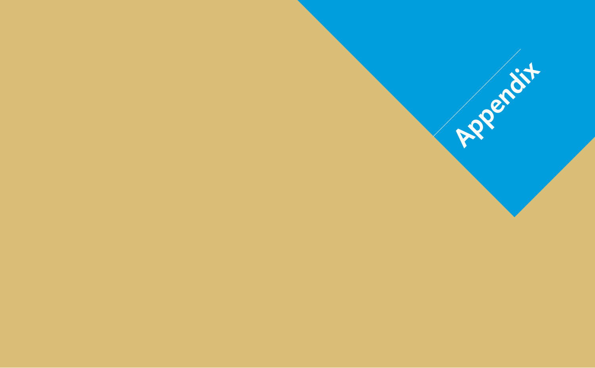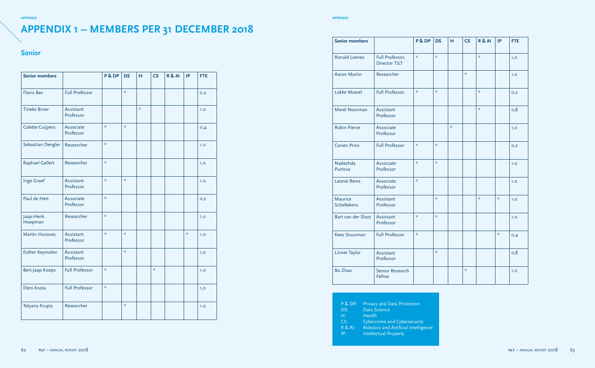#### **appendix appendix**

## **APPENDIX 1 – MEMBERS PER 31 DECEMBER 2018**

#### **Senior**

| <b>Senior members</b>   |                        | P & DP                            | <b>DS</b>                         | H  | CS            | R & A | IP                                | <b>FTE</b> |
|-------------------------|------------------------|-----------------------------------|-----------------------------------|----|---------------|-------|-----------------------------------|------------|
| <b>Floris Bex</b>       | <b>Full Professor</b>  |                                   | $\star$                           |    |               |       |                                   | O.2        |
| <b>Tineke Broer</b>     | Assistant<br>Professor |                                   |                                   | ÷, |               |       |                                   | 1.0        |
| <b>Colette Cuijpers</b> | Associate<br>Professor | $\frac{d\mathbf{y}}{d\mathbf{x}}$ | $\frac{d\mathbf{x}}{d\mathbf{x}}$ |    |               |       |                                   | O, 4       |
| Sebastian Dengler       | Researcher             | $\frac{d\mathbf{x}}{d\mathbf{x}}$ |                                   |    |               |       |                                   | 1.0        |
| Raphael Gellert         | Researcher             | $\frac{d\mathbf{x}}{d\mathbf{x}}$ |                                   |    |               |       |                                   | 1,0        |
| Inge Graef              | Assistant<br>Professor | $\frac{d\mathbf{x}}{d\mathbf{x}}$ | $\frac{1}{N}$                     |    |               |       |                                   | 1.0        |
| Paul de Hert            | Associate<br>Professor | $\frac{d\mathbf{x}}{d\mathbf{x}}$ |                                   |    |               |       |                                   | O,2        |
| Jaap-Henk<br>Hoepman    | Researcher             | $\frac{d\mathbf{y}}{d\mathbf{x}}$ |                                   |    |               |       |                                   | 1.0        |
| <b>Martin Husovec</b>   | Assistant<br>Professor | $\frac{d\mathbf{x}}{d\mathbf{x}}$ | $\frac{1}{N}$                     |    |               |       | $\frac{d\mathbf{y}}{d\mathbf{x}}$ | 1.0        |
| Esther Keymolen         | Assistant<br>Professor |                                   | $\frac{1}{N}$                     |    |               |       |                                   | 1,0        |
| Bert-Jaap Koops         | <b>Full Professor</b>  | $\frac{d\mathbf{y}}{d\mathbf{x}}$ |                                   |    | $\frac{1}{N}$ |       |                                   | 1.0        |
| Eleni Kosta             | <b>Full Professor</b>  | $\frac{d\mathbf{x}}{d\mathbf{x}}$ |                                   |    |               |       |                                   | 1,0        |
| Tetyana Krupiy          | Researcher             |                                   | $\frac{d\mathbf{x}}{d\mathbf{x}}$ |    |               |       |                                   | 1.0        |

| <b>Senior members</b>         |                                         | P & DP                            | <b>DS</b>                         | н                                 | <b>CS</b>                         | R & AI                            | IP                                | <b>FTE</b> |
|-------------------------------|-----------------------------------------|-----------------------------------|-----------------------------------|-----------------------------------|-----------------------------------|-----------------------------------|-----------------------------------|------------|
| <b>Ronald Leenes</b>          | Full Professor,<br><b>Director TILT</b> | $\frac{d\mathbf{y}}{d\mathbf{x}}$ | $\frac{d\mathbf{y}}{d\mathbf{x}}$ |                                   |                                   | $\frac{d\mathbf{y}}{d\mathbf{x}}$ |                                   | 1,0        |
| <b>Aaron Martin</b>           | Researcher                              |                                   |                                   |                                   | $\frac{1}{N}$                     |                                   |                                   | 1.0        |
| Lokke Moerel                  | <b>Full Professor</b>                   | $\frac{d\mathbf{x}}{d\mathbf{x}}$ | $\frac{d\mathbf{y}}{d\mathbf{x}}$ |                                   |                                   | $\frac{d\mathbf{y}}{d\mathbf{x}}$ |                                   | O,2        |
| Merel Noorman                 | Assistant<br>Professor                  |                                   |                                   |                                   |                                   | $\frac{d\mathbf{x}}{d\mathbf{x}}$ |                                   | O, 8       |
| <b>Robin Pierce</b>           | Associate<br>Professor                  |                                   |                                   | $\frac{d\mathbf{y}}{d\mathbf{x}}$ |                                   |                                   |                                   | 1,0        |
| <b>Corien Prins</b>           | <b>Full Professor</b>                   | $\star$                           | $\frac{d\mathbf{y}}{d\mathbf{x}}$ |                                   |                                   |                                   |                                   | O,2        |
| Nadezhda<br>Purtova           | Associate<br>Professor                  | $\frac{d\mathbf{y}}{d\mathbf{x}}$ | sk.                               |                                   |                                   |                                   |                                   | 1.0        |
| Leonie Reins                  | Associate<br>Professor                  | $\frac{d\mathbf{y}}{d\mathbf{x}}$ |                                   |                                   |                                   |                                   |                                   | 1.0        |
| <b>Maurice</b><br>Schellekens | Assistant<br>Professor                  |                                   | $\frac{d\mathbf{y}}{d\mathbf{x}}$ |                                   |                                   | $\frac{d\mathbf{y}}{d\mathbf{x}}$ | $\frac{d\mathbf{y}}{d\mathbf{x}}$ | 1.0        |
| Bart van der Sloot            | Assistant<br>Professor                  | $\star$                           | $\frac{1}{N}$                     |                                   |                                   |                                   |                                   | 1.0        |
| <b>Kees Stuurman</b>          | <b>Full Professor</b>                   | $\star$                           |                                   |                                   |                                   |                                   | $\frac{1}{N}$                     | O, 4       |
| Linnet Taylor                 | Assistant<br>Professor                  |                                   | $\frac{d\mathbf{y}}{d\mathbf{x}}$ |                                   |                                   |                                   |                                   | O,8        |
| Bo Zhao                       | Senior Research<br>Fellow               |                                   |                                   |                                   | $\frac{d\mathbf{r}}{d\mathbf{x}}$ |                                   |                                   | 1,0        |

P & DP: Privacy and Data Protection<br>DS: Data Science

Data Science

- H: Health
- CS: Cybercrime and Cybersecurity
- R & AI: Robotics and Artificial Intelligence<br>IP: litellectual Property

Intellectual Property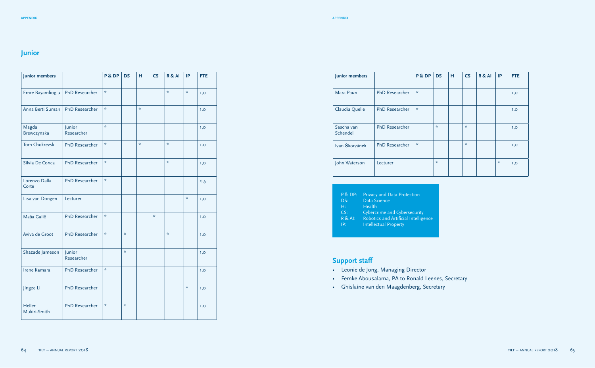#### **Junior**

| Junior members         |                       | P & DP                            | <b>DS</b>                         | н                                 | CS                                | R & A                             | IP                                | <b>FTE</b> |
|------------------------|-----------------------|-----------------------------------|-----------------------------------|-----------------------------------|-----------------------------------|-----------------------------------|-----------------------------------|------------|
| Emre Bayamlioglu       | <b>PhD Researcher</b> | $\frac{d\mathbf{y}}{d\mathbf{x}}$ |                                   |                                   |                                   | $\frac{d\mathbf{y}}{d\mathbf{x}}$ | $\frac{1}{N}$                     | 1,0        |
| Anna Berti Suman       | <b>PhD</b> Researcher | $\frac{d\mathbf{y}}{d\mathbf{x}}$ |                                   | $\frac{d\mathbf{y}}{d\mathbf{x}}$ |                                   |                                   |                                   | 1.0        |
| Magda<br>Brewczynska   | Junior<br>Researcher  | A.                                |                                   |                                   |                                   |                                   |                                   | 1,0        |
| Tom Chokrevski         | <b>PhD Researcher</b> | $\frac{d\mathbf{x}}{d\mathbf{x}}$ |                                   | $\frac{d\mathbf{y}}{d\mathbf{x}}$ |                                   | $\frac{d\mathbf{y}}{d\mathbf{x}}$ |                                   | 1.0        |
| Silvia De Conca        | PhD Researcher        | $\frac{d\mathbf{y}}{d\mathbf{x}}$ |                                   |                                   |                                   | $\frac{d\mathbf{y}}{d\mathbf{x}}$ |                                   | 1,0        |
| Lorenzo Dalla<br>Corte | PhD Researcher        | $\frac{d\mathbf{y}}{d\mathbf{x}}$ |                                   |                                   |                                   |                                   |                                   | O, 5       |
| Lisa van Dongen        | Lecturer              |                                   |                                   |                                   |                                   |                                   | $\frac{d\mathbf{x}}{d\mathbf{x}}$ | 1,0        |
| Maša Galič             | <b>PhD Researcher</b> | $\frac{d\mathbf{r}}{d\mathbf{x}}$ |                                   |                                   | $\frac{d\mathbf{r}}{d\mathbf{x}}$ |                                   |                                   | 1.0        |
| Aviva de Groot         | PhD Researcher        | $\frac{d\mathbf{x}}{d\mathbf{x}}$ | $\frac{d\mathbf{x}}{d\mathbf{x}}$ |                                   |                                   | $\frac{d\mathbf{y}}{d\mathbf{x}}$ |                                   | 1.0        |
| Shazade Jameson        | Junior<br>Researcher  |                                   | $\frac{d\mathbf{y}}{d\mathbf{x}}$ |                                   |                                   |                                   |                                   | 1,0        |
| Irene Kamara           | <b>PhD Researcher</b> | $\frac{d\mathbf{x}}{d\mathbf{x}}$ |                                   |                                   |                                   |                                   |                                   | 1.0        |
| Jingze Li              | PhD Researcher        |                                   |                                   |                                   |                                   |                                   | $\frac{d\mathbf{r}}{d\mathbf{x}}$ | 1,0        |
| Hellen<br>Mukiri-Smith | PhD Researcher        | $\frac{d\mathbf{x}}{d\mathbf{x}}$ | $\star$                           |                                   |                                   |                                   |                                   | 1.0        |

| Junior members         |                       | P & DP  | <b>DS</b>                         | н | <b>CS</b> | R & AI | IP                                | <b>FTE</b> |
|------------------------|-----------------------|---------|-----------------------------------|---|-----------|--------|-----------------------------------|------------|
| Mara Paun              | <b>PhD Researcher</b> | $\star$ |                                   |   |           |        |                                   | 1,0        |
| Claudia Quelle         | <b>PhD</b> Researcher | $\star$ |                                   |   |           |        |                                   | 1.0        |
| Sascha van<br>Schendel | <b>PhD Researcher</b> |         | $\frac{d\mathbf{r}}{d\mathbf{x}}$ |   | $\star$   |        |                                   | 1,0        |
| Ivan Škorvánek         | <b>PhD Researcher</b> | $\star$ |                                   |   | $\star$   |        |                                   | 1,0        |
| John Waterson          | Lecturer              |         | $\frac{d\mathbf{r}}{d\mathbf{x}}$ |   |           |        | $\frac{d\mathbf{r}}{d\mathbf{x}}$ | 1,0        |

- P & DP: Privacy and Data Protection<br>DS: Data Science
- DS: Data Science<br>H: Health
- Health
- CS: Cybercrime and Cybersecurity
- R & AI: Robotics and Artificial Intelligence
- IP: Intellectual Property

#### **Support staff**

- Leonie de Jong, Managing Director
- Femke Abousalama, PA to Ronald Leenes, Secretary
- Ghislaine van den Maagdenberg, Secretary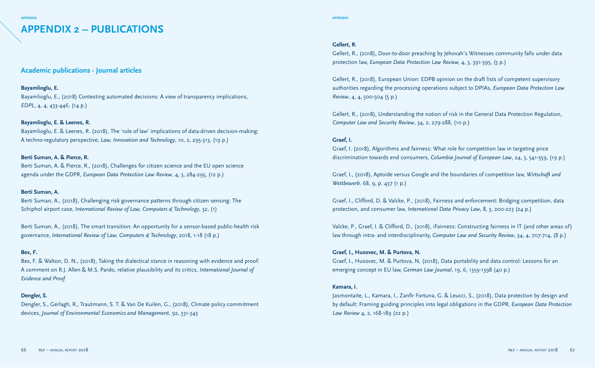### **APPENDIX 2 – PUBLICATIONS**

#### **Academic publications - Journal articles**

#### **Bayamlioglu, E.**

Bayamlioglu, E., (2018) Contesting automated decisions: A view of transparency implications, *EDPL*, 4, 4, 433-446, (14 p.)

#### **Bayamlioglu, E. & Leenes, R.**

Bayamlioglu, E. & Leenes, R. (2018), The 'rule of law' implications of data-driven decision-making: A techno-regulatory perspective, *Law, Innovation and Technology*, 10, 2, 295-313, (19 p.)

#### **Berti Suman, A. & Pierce, R.**

Berti Suman, A. & Pierce, R., (2018), Challenges for citizen science and the EU open science agenda under the GDPR, *European Data Protection Law Review*, 4, 3, 284-295, (12 p.)

#### **Berti Suman, A.**

Berti Suman, A., (2018), Challenging risk governance patterns through citizen sensing: The Schiphol airport case, *International Review of Law, Computers & Technology*, 32, (1)

Berti Suman, A., (2018), The smart transition: An opportunity for a sensor-based public-health risk governance, *International Review of Law, Computers & Technology*, 2018, 1-18 (18 p.)

#### **Bex, F.**

Bex, F. & Walton, D. N., (2018), Taking the dialectical stance in reasoning with evidence and proof: A comment on R.J. Allen & M.S. Pardo, relative plausibility and its critics, *International Journal of Evidence and Proof*

#### **Dengler, S.**

Dengler, S., Gerlagh, R., Trautmann, S. T. & Van De Kuilen, G., (2018), Climate policy commitment devices, *Journal of Environmental Economics and Management*, 92, 331-343

#### **appendix appendix**

#### **Gellert, R.**

Gellert, R., (2018), Door-to-door preaching by Jehovah's Witnesses community falls under data protection law, *European Data Protection Law Review,* 4, 3, 391-395, (5 p.)

Gellert, R., (2018), European Union: EDPB opinion on the draft lists of competent supervisory authorities regarding the processing operations subject to DPIAs, *European Data Protection Law Review*, 4, 4, 500-504 (5 p.)

Gellert, R., (2018), Understanding the notion of risk in the General Data Protection Regulation, *Computer Law and Security Review*, 34, 2, 279-288, (10 p.)

#### **Graef, I.**

Graef, I. (2018), Algorithms and fairness: What role for competition law in targeting price discrimination towards end consumers, *Columbia Journal of European Law*, 24, 3, 541-559, (19 p.)

Graef, I., (2018), Aptoide versus Google and the boundaries of competition law, *Wirtschaft und Wettbewerb*. 68, 9, p. 437 (1 p.)

Graef, I., Clifford, D. & Valcke, P., (2018), Fairness and enforcement: Bridging competition, data protection, and consumer law, *International Data Privacy Law*, 8, 3, 200-223 (24 p.)

Valcke, P., Graef, I. & Clifford, D., (2018), iFairness: Constructing fairness in IT (and other areas of) law through intra- and interdisciplinarity, *Computer Law and Security Review*, 34, 4, 707-714, (8 p.)

#### **Graef, I., Husovec, M. & Purtova, N.**

Graef, I., Husovec, M. & Purtova, N, (2018), Data portability and data control: Lessons for an emerging concept in EU law, *German Law Journal*, 19, 6, 1359-1398 (40 p.)

#### **Kamara, I.**

Jasmontaite, L., Kamara, I., Zanfir Fortuna, G. & Leucci, S., (2018), Data protection by design and by default: Framing guiding principles into legal obligations in the GDPR, *European Data Protection Law Review* 4, 2, 168-189 (22 p.)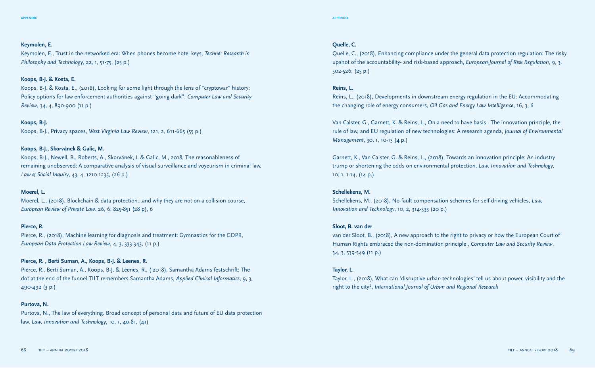#### **Keymolen, E.**

Keymolen, E., Trust in the networked era: When phones become hotel keys, *Techné: Research in Philosophy and Technology*, 22, 1, 51-75, (25 p.)

#### **Koops, B-J. & Kosta, E.**

Koops, B-J. & Kosta, E., (2018), Looking for some light through the lens of "cryptowar" history: Policy options for law enforcement authorities against "going dark", *Computer Law and Security Review*, 34, 4, 890-900 (11 p.)

#### **Koops, B-J.**

Koops, B-J., Privacy spaces, *West Virginia Law Review*, 121, 2, 611-665 (55 p.)

#### **Koops, B-J., Skorvánek & Galic, M.**

Koops, B-J., Newell, B., Roberts, A., Skorvánek, I. & Galic, M., 2018, The reasonableness of remaining unobserved: A comparative analysis of visual surveillance and voyeurism in criminal law, *Law & Social Inquiry*, 43, 4, 1210-1235, (26 p.)

#### **Moerel, L.**

Moerel, L., (2018), Blockchain & data protection…and why they are not on a collision course, *European Review of Private Law*. 26, 6, 825-851 (28 p), 6

#### **Pierce, R.**

Pierce, R., (2018), Machine learning for diagnosis and treatment: Gymnastics for the GDPR, *European Data Protection Law Review*, 4, 3, 333-343, (11 p.)

#### **Pierce, R. , Berti Suman, A., Koops, B-J. & Leenes, R.**

Pierce, R., Berti Suman, A., Koops, B-J. & Leenes, R., ( 2018), Samantha Adams festschrift: The dot at the end of the funnel-TILT remembers Samantha Adams, *Applied Clinical Informatics*, 9, 3, 490-492 (3 p.)

#### **Purtova, N.**

Purtova, N., The law of everything. Broad concept of personal data and future of EU data protection law, *Law, Innovation and Technology*, 10, 1, 40-81, (41)

#### **Quelle, C.**

Quelle, C., (2018), Enhancing compliance under the general data protection regulation: The risky upshot of the accountability- and risk-based approach, *European Journal of Risk Regulation*, 9, 3, 502-526, (25 p.)

#### **Reins, L.**

Reins, L., (2018), Developments in downstream energy regulation in the EU: Accommodating the changing role of energy consumers, *Oil Gas and Energy Law Intelligence*, 16, 3, 6

Van Calster, G., Garnett, K. & Reins, L., On a need to have basis - The innovation principle, the rule of law, and EU regulation of new technologies: A research agenda, *Journal of Environmental Management*, 30, 1, 10-13 (4 p.)

Garnett, K., Van Calster, G. & Reins, L., (2018), Towards an innovation principle: An industry trump or shortening the odds on environmental protection, *Law, Innovation and Technology*, 10, 1, 1-14, (14 p.)

#### **Schellekens, M.**

Schellekens, M., (2018), No-fault compensation schemes for self-driving vehicles, *Law, Innovation and Technology*, 10, 2, 314-333 (20 p.)

#### **Sloot, B. van der**

van der Sloot, B., (2018), A new approach to the right to privacy or how the European Court of Human Rights embraced the non-domination principle , *Computer Law and Security Review*, 34, 3, 539-549 (11 p.)

#### **Taylor, L.**

Taylor, L., (2018), What can 'disruptive urban technologies' tell us about power, visibility and the right to the city?, *International Journal of Urban and Regional Research*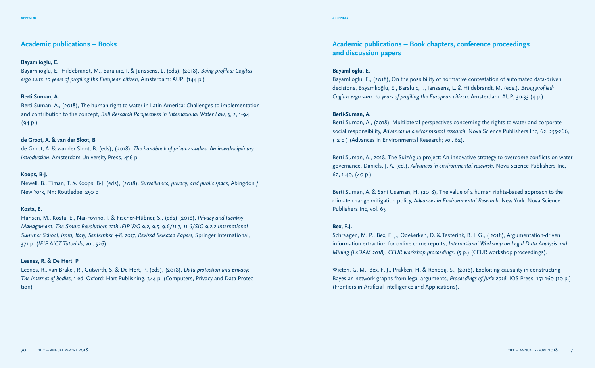#### **Academic publications – Books**

#### **Bayamlioglu, E.**

Bayamlioglu, E., Hildebrandt, M., Baraluic, I. & Janssens, L. (eds), (2018), *Being profiled: Cogitas ergo sum: 10 years of profiling the European citizen*, Amsterdam: AUP. (144 p.)

#### **Berti Suman, A.**

Berti Suman, A., (2018), The human right to water in Latin America: Challenges to implementation and contribution to the concept, *Brill Research Perspectives in International Water Law*, 3, 2, 1-94, (94 p.)

#### **de Groot, A. & van der Sloot, B**

de Groot, A. & van der Sloot, B. (eds), (2018), *The handbook of privacy studies: An interdisciplinary introduction*, Amsterdam University Press, 456 p.

#### **Koops, B-J.**

Newell, B., Timan, T. & Koops, B-J. (eds), (2018), *Surveillance, privacy, and public space*, Abingdon / New York, NY: Routledge, 250 p

#### **Kosta, E.**

Hansen, M., Kosta, E., Nai-Fovino, I. & Fischer-Hübner, S., (eds) (2018), *Privacy and Identity Management. The Smart Revolution: 12th IFIP WG 9.2, 9.5, 9.6/11.7, 11.6/SIG 9.2.2 International Summer School, Ispra, Italy, September 4-8, 2017, Revised Selected Papers*, Springer International, 371 p. (*IFIP AICT Tutorials*; vol. 526)

#### **Leenes, R. & De Hert, P**

Leenes, R., van Brakel, R., Gutwirth, S. & De Hert, P. (eds), (2018), *Data protection and privacy: The internet of bodies*, 1 ed. Oxford: Hart Publishing, 344 p. (Computers, Privacy and Data Protection)

#### **Bayamlioglu, E.**

Bayamlioglu, E., (2018), On the possibility of normative contestation of automated data-driven decisions, Bayamlıoğlu, E., Baraluic, I., Janssens, L. & Hildebrandt, M. (eds.). *Being profiled: Cogitas ergo sum: 10 years of profiling the European citizen*. Amsterdam: AUP, 30-33 (4 p.)

#### **Berti-Suman, A.**

Berti-Suman, A., (2018), Multilateral perspectives concerning the rights to water and corporate social responsibility, *Advances in environmental research*. Nova Science Publishers Inc, 62, 255-266, (12 p.) (Advances in Environmental Research; vol. 62).

Berti Suman, A., 2018, The SuizAgua project: An innovative strategy to overcome conflicts on water governance, Daniels, J. A. (ed.). *Advances in environmental research*. Nova Science Publishers Inc, 62, 1-40, (40 p.)

Berti Suman, A. & Sani Usaman, H. (2018), The value of a human rights-based approach to the climate change mitigation policy, *Advances in Environmental Research*. New York: Nova Science Publishers Inc, vol. 63

#### **Bex, F.J.**

Schraagen, M. P., Bex, F. J., Odekerken, D. & Testerink, B. J. G., ( 2018), Argumentation-driven information extraction for online crime reports, *International Workshop on Legal Data Analysis and Mining (LeDAM 2018): CEUR workshop proceedings*. (5 p.) (CEUR workshop proceedings).

Wieten, G. M., Bex, F. J., Prakken, H. & Renooij, S., (2018), Exploiting causality in constructing Bayesian network graphs from legal arguments, *Proceedings of Jurix 2018*, IOS Press, 151-160 (10 p.) (Frontiers in Artificial Intelligence and Applications).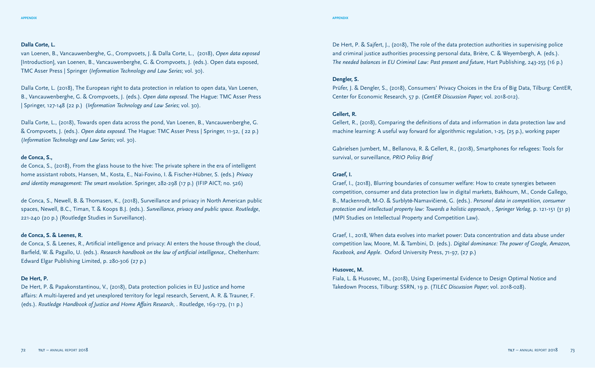#### **Dalla Corte, L.**

van Loenen, B., Vancauwenberghe, G., Crompvoets, J. & Dalla Corte, L., (2018), *Open data exposed*  [Introduction], van Loenen, B., Vancauwenberghe, G. & Crompvoets, J. (eds.). Open data exposed, TMC Asser Press | Springer (*Information Technology and Law Series*; vol. 30).

Dalla Corte, L. (2018), The European right to data protection in relation to open data, Van Loenen, B., Vancauwenberghe, G. & Crompvoets, J. (eds.). *Open data exposed*. The Hague: TMC Asser Press | Springer, 127-148 (22 p.) (*Information Technology and Law Series*; vol. 30).

Dalla Corte, L., (2018), Towards open data across the pond, Van Loenen, B., Vancauwenberghe, G. & Crompvoets, J. (eds.). *Open data exposed*. The Hague: TMC Asser Press | Springer, 11-32, ( 22 p.) (*Information Technology and Law Series*; vol. 30).

#### **de Conca, S.,**

de Conca, S., (2018), From the glass house to the hive: The private sphere in the era of intelligent home assistant robots, Hansen, M., Kosta, E., Nai-Fovino, I. & Fischer-Hübner, S. (eds.) *Privacy and identity management: The smart revolution*. Springer, 282-298 (17 p.) (IFIP AICT; no. 526)

de Conca, S., Newell, B. & Thomasen, K., (2018), Surveillance and privacy in North American public spaces, Newell, B.C., Timan, T. & Koops B.J. (eds.). *Surveillance, privacy and public space. Routledge*, 221-240 (20 p.) (Routledge Studies in Surveillance).

#### **de Conca, S. & Leenes, R.**

de Conca, S. & Leenes, R., Artificial intelligence and privacy: AI enters the house through the cloud, Barfield, W. & Pagallo, U. (eds.). *Research handbook on the law of artificial intelligence*,. Cheltenham: Edward Elgar Publishing Limited, p. 280-306 (27 p.)

#### **De Hert, P.**

De Hert, P. & Papakonstantinou, V., (2018), Data protection policies in EU Justice and home affairs: A multi-layered and yet unexplored territory for legal research, Servent, A. R. & Trauner, F. (eds.). *Routledge Handbook of Justice and Home Affairs Research*, . Routledge, 169-179, (11 p.)

De Hert, P. & Sajfert, J., (2018), The role of the data protection authorities in supervising police and criminal justice authorities processing personal data, Brière, C. & Weyembergh, A. (eds.). *The needed balances in EU Criminal Law: Past present and future*, Hart Publishing, 243-255 (16 p.)

#### **Dengler, S.**

Prüfer, J. & Dengler, S., (2018), Consumers' Privacy Choices in the Era of Big Data, Tilburg: CentER, Center for Economic Research, 57 p. (*CentER Discussion Paper*; vol. 2018-012).

#### **Gellert, R.**

Gellert, R., (2018), Comparing the definitions of data and information in data protection law and machine learning: A useful way forward for algorithmic regulation, 1-25, (25 p.), working paper

Gabrielsen Jumbert, M., Bellanova, R. & Gellert, R., (2018), Smartphones for refugees: Tools for survival, or surveillance, *PRIO Policy Brief*

#### **Graef, I.**

Graef, I., (2018), Blurring boundaries of consumer welfare: How to create synergies between competition, consumer and data protection law in digital markets, Bakhoum, M., Conde Gallego, B., Mackenrodt, M-O. & Surblytė-Namavičienė, G. (eds.). *Personal data in competition, consumer protection and intellectual property law: Towards a holistic approach, , Springer Verlag*, p. 121-151 (31 p) (MPI Studies on Intellectual Property and Competition Law).

Graef, I., 2018, When data evolves into market power: Data concentration and data abuse under competition law, Moore, M. & Tambini, D. (eds.). *Digital dominance: The power of Google, Amazon, Facebook, and Apple*. Oxford University Press, 71-97, (27 p.)

#### **Husovec, M.**

Fiala, L. & Husovec, M., (2018), Using Experimental Evidence to Design Optimal Notice and Takedown Process, Tilburg: SSRN, 19 p. (*TILEC Discussion Paper*; vol. 2018-028).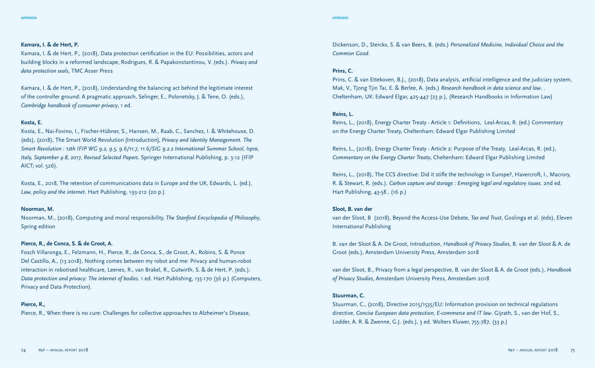#### **appendix appendix**

#### **Kamara, I. & de Hert, P.**

Kamara, I. & de Hert, P., (2018), Data protection certification in the EU: Possibilities, actors and building blocks in a reformed landscape, Rodrigues, R. & Papakonstantinou, V. (eds.). *Privacy and data protection seals*, TMC Asser Press

Kamara, I. & de Hert, P., (2018), Understanding the balancing act behind the legitimate interest of the controller ground: A pragmatic approach, Selinger, E., Polonetsky, J. & Tene, O. (eds.), *Cambridge handbook of consumer privacy*, 1 ed.

#### **Kosta, E.**

Kosta, E., Nai-Fovino, I., Fischer-Hübner, S., Hansen, M., Raab, C., Sanchez, I. & Whitehouse, D. (eds), (2018), The Smart World Revolution [Introduction], *Privacy and Identity Management. The Smart Revolution : 12th IFIP WG 9.2, 9.5, 9.6/11.7, 11.6/SIG 9.2.2 International Summer School, Ispra, Italy, September 4-8, 2017, Revised Selected Papers*. Springer International Publishing, p. 3-12 (IFIP AICT; vol. 526).

Kosta, E., 2018, The retention of communications data in Europe and the UK, Edwards, L. (ed.). *Law, policy and the internet*. Hart Publishing, 193-212 (20 p.)

#### **Noorman, M.**

Noorman, M., (2018), Computing and moral responsibility, *The Stanford Encyclopedia of Philosophy*, Spring edition

#### **Pierce, R., de Conca, S. & de Groot, A.**

Fosch Villaronga, E., Felzmann, H., Pierce, R., de Conca, S., de Groot, A., Robins, S. & Ponce Del Castillo, A., (13 2018), Nothing comes between my robot and me: Privacy and human-robot interaction in robotised healthcare, Leenes, R., van Brakel, R., Gutwirth, S. & de Hert, P. (eds.). *Data protection and privacy: The internet of bodies*. 1 ed. Hart Publishing, 135-170 (36 p.) (Computers, Privacy and Data Protection).

#### **Pierce, R.,**

Pierce, R., When there is no cure: Challenges for collective approaches to Alzheimer's Disease,

Dickenson, D., Sterckx, S. & van Beers, B. (eds.) *Personalized Medicine, Individual Choice and the Common Good*.

#### **Prins, C.**

Prins, C. & van Ettekoven, B.J., (2018), Data analysis, artificial intelligence and the judiciary system, Mak, V., Tjong Tjin Tai, E. & Berlee, A. (eds.) *Research handbook in data science and law*. . Cheltenham, UK: Edward Elgar, 425-447 (23 p.), (Research Handbooks in Information Law)

#### **Reins, L.**

Reins, L., (2018), Energy Charter Treaty - Article 1: Definitions, Leal-Arcas, R. (ed.) Commentary on the Energy Charter Treaty, Cheltenham: Edward Elgar Publishing Limited

Reins, L., (2018), Energy Charter Treaty - Article 2: Purpose of the Treaty, Leal-Arcas, R. (ed.), *Commentary on the Energy Charter Treaty*, Cheltenham: Edward Elgar Publishing Limited

Reins, L., (2018), The CCS directive: Did it stifle the technology in Europe?, Havercroft, I., Macrory, R. & Stewart, R. (eds.). *Carbon capture and storage : Emerging legal and regulatory issues*. 2nd ed. Hart Publishing, 43-58 , (16 p.)

#### **Sloot, B. van der**

van der Sloot, B (2018), Beyond the Access-Use Debate, *Tax and Trust*, Goslinga et al. (eds), Eleven International Publishing

B. van der Sloot & A. De Groot, Introduction, *Handbook of Privacy Studies*, B. van der Sloot & A. de Groot (eds.), Amsterdam University Press, Amsterdam 2018

van der Sloot, B., Privacy from a legal perspective, B. van der Sloot & A. de Groot (eds.), *Handbook of Privacy Studies*, Amsterdam University Press, Amsterdam 2018

#### **Stuurman, C.**

Stuurman, C., (2018), Directive 2015/1535/EU: Information provision on technical regulations directive, *Concise European data protection, E-commerce and IT law*. Gijrath, S., van der Hof, S., Lodder, A. R. & Zwenne, G.J. (eds.), 3 ed. Wolters Kluwer, 755-787, (33 p.)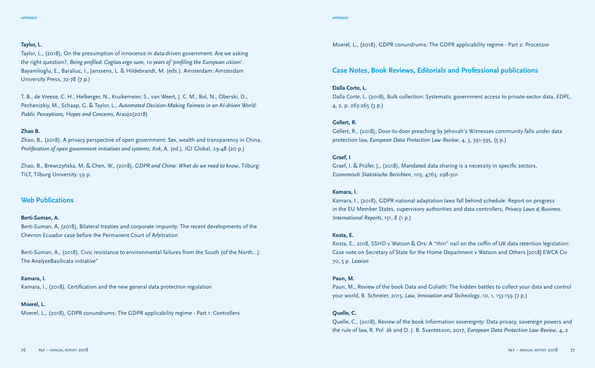#### **appendix appendix**

#### **Taylor, L.**

Taylor, L., (2018), On the presumption of innocence in data-driven government: Are we asking the right question?, *Being profiled: Cogitas ergo sum, 10 years of 'profiling the European citizen*'. Bayamlioglu, E., Baraliuc, I., Janssens, L. & Hildebrandt, M. (eds.). Amsterdam: Amsterdam University Press, 72-78 (7 p.)

T. B., de Vreese, C. H., Helberger, N., Kruikemeier, S., van Weert, J. C. M., Bol, N., Oberski, D., Pechenizkiy, M., Schaap, G. & Taylor, L., *Automated Decision-Making Fairness in an AI-driven World: Public Perceptions, Hopes and Concerns*, Araujo(2018)

#### **Zhao B.**

Zhao, B., (2018), A privacy perspective of open government: Sex, wealth and transparency in China, *Proliferation of open government initiatives and systems, Kok*, A. (ed.). IGI Global, 29-48 (20 p.)

Zhao, B., Brewczyńska, M. & Chen, W., (2018), *GDPR and China: What do we need to know*, Tilburg: TILT, Tilburg University. 59 p.

#### **Web Publications**

#### **Berti-Suman, A.**

Berti-Suman, A, (2018), Bilateral treaties and corporate impunity: The recent developments of the Chevron Ecuador case before the Permanent Court of Arbitration

Berti-Suman, A., (2018), Civic resistance to environmental failures from the South (of the North…): The AnalyzeBasilicata initiative"

#### **Kamara, I.**

Kamara, I., (2018), Certification and the new general data protection regulation

#### **Moerel, L.**

Moerel, L., (2018), GDPR conundrums: The GDPR applicability regime - Part 1: Controllers

Moerel, L., (2018), GDPR conundrums: The GDPR applicability regime - Part 2: Processor

#### **Case Notes, Book Reviews, Editorials and Professional publications**

#### **Dalla Corte, L.**

Dalla Corte, L. (2018), Bulk collection: Systematic government access to private-sector data, *EDPL*, 4, 2, p. 263-265 (3 p.)

#### **Gellert, R.**

Gellert, R., (2018), Door-to-door preaching by Jehovah's Witnesses community falls under data protection law, *European Data Protection Law Review*, 4, 3, 391-395, (5 p.)

#### **Graef, I**

Graef, I. & Prüfer, J., (2018), Mandated data sharing is a necessity in specific sectors, *Economisch Statistische Berichten*, 103, 4763, 298-301

#### **Kamara, I.**

Kamara, I., (2018), GDPR national adaptation laws fall behind schedule: Report on progress in the EU Member States, supervisory authorities and data controllers, *Privacy Laws & Business. International Reports*, 151, 8 (1 p.)

#### **Kosta, E.**

Kosta, E., 2018, SSHD v Watson & Ors: A "thin" nail on the coffin of UK data retention legislation: Case note on Secretary of State for the Home Department v Watson and Others [2018] EWCA Civ 70, 5 p. *Lexxion*

#### **Paun, M.**

Paun, M., Review of the book Data and Goliath: The hidden battles to collect your data and control your world, B. Schneier, 2015, *Law, Innovation and Technology*, 10, 1, 153-159 (7 p.)

#### **Quelle, C.**

Quelle, C., (2018), Review of the book Information sovereignty: Data privacy, sovereign powers and the rule of law, R. Pol ák and D. J. B. Svantesson, 2017, *European Data Protection Law Review*, 4, 2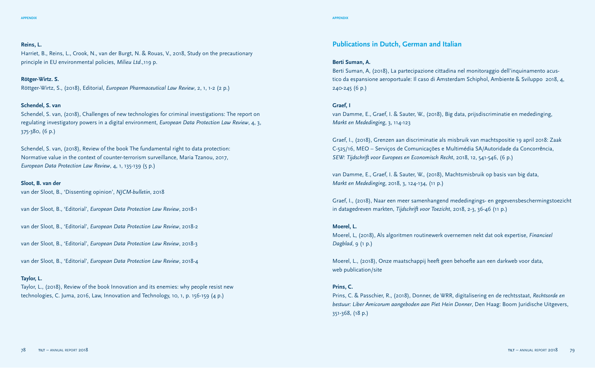#### **Reins, L.**

Harriet, B., Reins, L., Crook, N., van der Burgt, N. & Rouas, V., 2018, Study on the precautionary principle in EU environmental policies, *Milieu Ltd*.,119 p.

#### **Rötger-Wirtz. S.**

Röttger-Wirtz, S., (2018), Editorial, *European Pharmaceutical Law Review*, 2, 1, 1-2 (2 p.)

#### **Schendel, S. van**

Schendel, S. van, (2018), Challenges of new technologies for criminal investigations: The report on regulating investigatory powers in a digital environment, *European Data Protection Law Review*, 4, 3, 375-380, (6 p.)

Schendel, S. van, (2018), Review of the book The fundamental right to data protection: Normative value in the context of counter-terrorism surveillance, Maria Tzanou, 2017, *European Data Protection Law Review*, 4, 1, 135-139 (5 p.)

#### **Sloot, B. van der**

van der Sloot, B., 'Dissenting opinion', *NJCM-bulletin*, 2018

van der Sloot, B., 'Editorial', *European Data Protection Law Review*, 2018-1

van der Sloot, B., 'Editorial', *European Data Protection Law Review*, 2018-2

van der Sloot, B., 'Editorial', *European Data Protection Law Review*, 2018-3

van der Sloot, B., 'Editorial', *European Data Protection Law Review*, 2018-4

#### **Taylor, L.**

Taylor, L., (2018), Review of the book Innovation and its enemies: why people resist new technologies, C. Juma, 2016, Law, Innovation and Technology, 10, 1, p. 156-159 (4 p.)

#### **Publications in Dutch, German and Italian**

#### **Berti Suman, A.**

Berti Suman, A, (2018), La partecipazione cittadina nel monitoraggio dell'inquinamento acustico da espansione aeroportuale: Il caso di Amsterdam Schiphol, Ambiente & Sviluppo 2018, 4, 240-245 (6 p.)

#### **Graef, I**

van Damme, E., Graef, I. & Sauter, W., (2018), Big data, prijsdiscriminatie en mededinging, *Markt en Mededinging*, 3, 114-123

Graef, I., (2018), Grenzen aan discriminatie als misbruik van machtspositie 19 april 2018: Zaak C-525/16, MEO – Serviços de Comunicações e Multimédia SA/Autoridade da Concorrência, *SEW: Tijdschrift voor Europees en Economisch Recht*, 2018, 12, 541-546, (6 p.)

van Damme, E., Graef, I. & Sauter, W., (2018), Machtsmisbruik op basis van big data, *Markt en Mededinging*, 2018, 3, 124-134, (11 p.)

Graef, I., (2018), Naar een meer samenhangend mededingings- en gegevensbeschermingstoezicht in datagedreven markten, *Tijdschrift voor Toezicht*, 2018, 2-3, 36-46 (11 p.)

#### **Moerel, L.**

Moerel, L, (2018), Als algoritmen routinewerk overnemen nekt dat ook expertise, *Financieel Dagblad*, 9 (1 p.)

Moerel, L., (2018), Onze maatschappij heeft geen behoefte aan een darkweb voor data, web publication/site

#### **Prins, C.**

Prins, C. & Passchier, R., (2018), Donner, de WRR, digitalisering en de rechtsstaat, *Rechtsorde en bestuur: Liber Amicorum aangeboden aan Piet Hein Donner*, Den Haag: Boom Juridische Uitgevers, 351-368, (18 p.)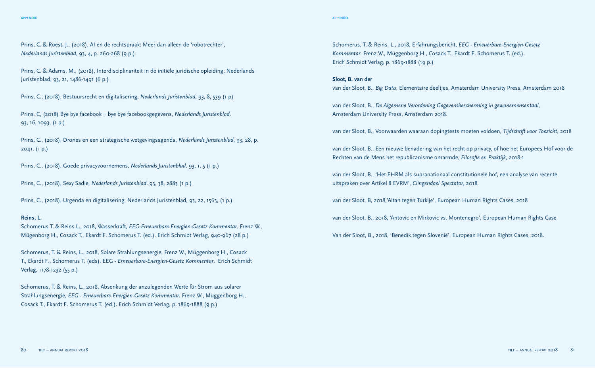#### **appendix appendix**

Prins, C. & Roest, J., (2018), AI en de rechtspraak: Meer dan alleen de 'robotrechter', *Nederlands Juristenblad*, 93, 4, p. 260-268 (9 p.)

Prins, C. & Adams, M., (2018), Interdisciplinariteit in de initiële juridische opleiding, Nederlands Juristenblad, 93, 21, 1486-1491 (6 p.)

Prins, C., (2018), Bestuursrecht en digitalisering, *Nederlands Juristenblad*, 93, 8, 539 (1 p)

Prins, C, (2018) Bye bye facebook = bye bye facebookgegevens, *Nederlands Juristenblad*. 93, 16, 1093, (1 p.)

Prins, C., (2018), Drones en een strategische wetgevingsagenda, *Nederlands Juristenblad*, 93, 28, p. 2041, (1 p.)

Prins, C., (2018), Goede privacyvoornemens, *Nederlands Juristenblad*. 93, 1, 5 (1 p.)

Prins, C., (2018), Sexy Sadie, *Nederlands Juristenblad*. 93, 38, 2883 (1 p.)

Prins, C., (2018), Urgenda en digitalisering, Nederlands Juristenblad, 93, 22, 1563, (1 p.)

#### **Reins, L.**

Schomerus T. & Reins L., 2018, Wasserkraft, *EEG-Erneuerbare-Energien-Gesetz Kommentar*. Frenz W., Mügenborg H., Cosack T., Ekardt F. Schomerus T. (ed.). Erich Schmidt Verlag, 940-967 (28 p.)

Schomerus, T. & Reins, L., 2018, Solare Strahlungsenergie, Frenz W., Müggenborg H., Cosack T., Ekardt F., Schomerus T. (eds). EEG - *Erneuerbare-Energien-Gesetz Kommentar*. Erich Schmidt Verlag, 1178-1232 (55 p.)

Schomerus, T. & Reins, L., 2018, Absenkung der anzulegenden Werte für Strom aus solarer Strahlungsenergie, *EEG - Erneuerbare-Energien-Gesetz Kommentar*. Frenz W., Müggenborg H., Cosack T., Ekardt F. Schomerus T. (ed.). Erich Schmidt Verlag, p. 1869-1888 (9 p.)

Schomerus, T. & Reins, L., 2018, Erfahrungsbericht, *EEG - Erneuerbare-Energien-Gesetz Kommentar*. Frenz W., Müggenborg H., Cosack T., Ekardt F. Schomerus T. (ed.). Erich Schmidt Verlag, p. 1869-1888 (19 p.)

#### **Sloot, B. van der**

van der Sloot, B., *Big Data*, Elementaire deeltjes, Amsterdam University Press, Amsterdam 2018

van der Sloot, B., *De Algemene Verordening Gegevensbescherming in gewonemensentaal*, Amsterdam University Press, Amsterdam 2018.

van der Sloot, B., Voorwaarden waaraan dopingtests moeten voldoen, *Tijdschrift voor Toezicht*, 2018

van der Sloot, B., Een nieuwe benadering van het recht op privacy, of hoe het Europees Hof voor de Rechten van de Mens het republicanisme omarmde, *Filosofie en Praktijk*, 2018-1

van der Sloot, B., 'Het EHRM als supranationaal constitutionele hof, een analyse van recente uitspraken over Artikel 8 EVRM', *Clingendael Spectator*, 2018

van der Sloot, B, 2018,'Altan tegen Turkije', European Human Rights Cases, 2018

van der Sloot, B., 2018, 'Antovic en Mirkovic vs. Montenegro', European Human Rights Case

Van der Sloot, B., 2018, 'Benedik tegen Slovenië', European Human Rights Cases, 2018.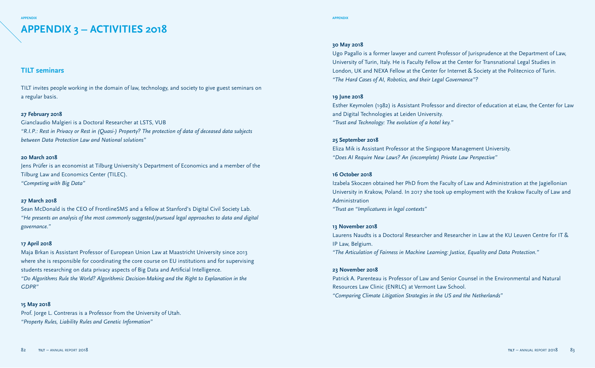## **APPENDIX 3 – ACTIVITIES 2018**

#### **TILT seminars**

TILT invites people working in the domain of law, technology, and society to give guest seminars on a regular basis.

#### **27 February 2018**

Gianclaudio Malgieri is a Doctoral Researcher at LSTS, VUB *"R.I.P.: Rest in Privacy or Rest in (Quasi-) Property? The protection of data of deceased data subjects between Data Protection Law and National solutions"*

#### **20 March 2018**

Jens Prüfer is an economist at Tilburg University's Department of Economics and a member of the Tilburg Law and Economics Center (TILEC). *"Competing with Big Data"*

#### **27 March 2018**

Sean McDonald is the CEO of FrontlineSMS and a fellow at Stanford's Digital Civil Society Lab. *"He presents an analysis of the most commonly suggested/pursued legal approaches to data and digital governance."*

#### **17 April 2018**

Maja Brkan is Assistant Professor of European Union Law at Maastricht University since 2013 where she is responsible for coordinating the core course on EU institutions and for supervising students researching on data privacy aspects of Big Data and Artificial Intelligence. *"Do Algorithms Rule the World? Algorithmic Decision-Making and the Right to Explanation in the GDPR"*

#### **15 May 2018**

Prof. Jorge L. Contreras is a Professor from the University of Utah. *"Property Rules, Liability Rules and Genetic Information"*

#### **30 May 2018**

Ugo Pagallo is a former lawyer and current Professor of Jurisprudence at the Department of Law, University of Turin, Italy. He is Faculty Fellow at the Center for Transnational Legal Studies in London, UK and NEXA Fellow at the Center for Internet & Society at the Politecnico of Turin. *"The Hard Cases of AI, Robotics, and their Legal Governance"?*

#### **19 June 2018**

Esther Keymolen (1982) is Assistant Professor and director of education at eLaw, the Center for Law and Digital Technologies at Leiden University. *"Trust and Technology: The evolution of a hotel key."*

#### **25 September 2018**

Eliza Mik is Assistant Professor at the Singapore Management University. *"Does AI Require New Laws? An (incomplete) Private Law Perspective"*

#### **16 October 2018**

Izabela Skoczen obtained her PhD from the Faculty of Law and Administration at the Jagiellonian University in Krakow, Poland. In 2017 she took up employment with the Krakow Faculty of Law and Administration

*"Trust an "Implicatures in legal contexts"*

#### **13 November 2018**

Laurens Naudts is a Doctoral Researcher and Researcher in Law at the KU Leuven Centre for IT & IP Law, Belgium. *"The Articulation of Fairness in Machine Learning: Justice, Equality and Data Protection."*

#### **23 November 2018**

Patrick A. Parenteau is Professor of Law and Senior Counsel in the Environmental and Natural Resources Law Clinic (ENRLC) at Vermont Law School. *"Comparing Climate Litigation Strategies in the US and the Netherlands"*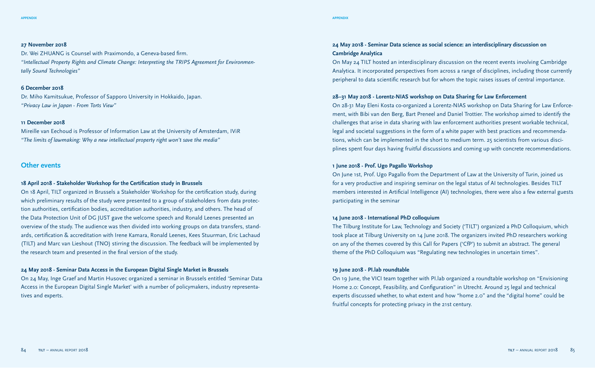#### **27 November 2018**

Dr. Wei ZHUANG is Counsel with Praximondo, a Geneva-based firm. *"Intellectual Property Rights and Climate Change: Interpreting the TRIPS Agreement for Environmentally Sound Technologies"*

#### **6 December 2018**

Dr. Miho Kamitsukue, Professor of Sapporo University in Hokkaido, Japan. *"Privacy Law in Japan - From Torts View"*

#### **11 December 2018**

Mireille van Eechoud is Professor of Information Law at the University of Amsterdam, IViR *"The limits of lawmaking: Why a new intellectual property right won't save the media"*

#### **Other events**

#### **18 April 2018 - Stakeholder Workshop for the Certification study in Brussels**

On 18 April, TILT organized in Brussels a Stakeholder Workshop for the certification study, during which preliminary results of the study were presented to a group of stakeholders from data protection authorities, certification bodies, accreditation authorities, industry, and others. The head of the Data Protection Unit of DG JUST gave the welcome speech and Ronald Leenes presented an overview of the study. The audience was then divided into working groups on data transfers, standards, certification & accreditation with Irene Kamara, Ronald Leenes, Kees Stuurman, Eric Lachaud (TILT) and Marc van Lieshout (TNO) stirring the discussion. The feedback will be implemented by the research team and presented in the final version of the study.

#### **24 May 2018 - Seminar Data Access in the European Digital Single Market in Brussels**

On 24 May, Inge Graef and Martin Husovec organized a seminar in Brussels entitled 'Seminar Data Access in the European Digital Single Market' with a number of policymakers, industry representatives and experts.

#### **24 May 2018 - Seminar Data science as social science: an interdisciplinary discussion on Cambridge Analytica**

On May 24 TILT hosted an interdisciplinary discussion on the recent events involving Cambridge Analytica. It incorporated perspectives from across a range of disciplines, including those currently peripheral to data scientific research but for whom the topic raises issues of central importance.

#### **28–31 May 2018 - Lorentz-NIAS workshop on Data Sharing for Law Enforcement**

On 28-31 May Eleni Kosta co-organized a Lorentz-NIAS workshop on Data Sharing for Law Enforcement, with Bibi van den Berg, Bart Preneel and Daniel Trottier. The workshop aimed to identify the challenges that arise in data sharing with law enforcement authorities present workable technical, legal and societal suggestions in the form of a white paper with best practices and recommendations, which can be implemented in the short to medium term. 25 scientists from various disciplines spent four days having fruitful discussions and coming up with concrete recommendations.

#### **1 June 2018 - Prof. Ugo Pagallo Workshop**

On June 1st, Prof. Ugo Pagallo from the Department of Law at the University of Turin, joined us for a very productive and inspiring seminar on the legal status of AI technologies. Besides TILT members interested in Artificial Intelligence (AI) technologies, there were also a few external guests participating in the seminar

#### **14 June 2018 - International PhD colloquium**

The Tilburg Institute for Law, Technology and Society ('TILT') organized a PhD Colloquium, which took place at Tilburg University on 14 June 2018. The organizers invited PhD researchers working on any of the themes covered by this Call for Papers ('CfP') to submit an abstract. The general theme of the PhD Colloquium was "Regulating new technologies in uncertain times".

#### **19 June 2018 - PI.lab roundtable**

On 19 June, the VICI team together with PI.lab organized a roundtable workshop on "Envisioning Home 2.0: Concept, Feasibility, and Configuration" in Utrecht. Around 25 legal and technical experts discussed whether, to what extent and how "home 2.0" and the "digital home" could be fruitful concepts for protecting privacy in the 21st century.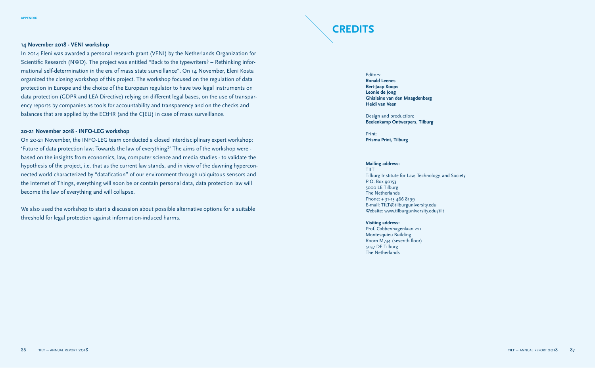# **CREDITS**

#### **14 November 2018 - VENI workshop**

In 2014 Eleni was awarded a personal research grant (VENI) by the Netherlands Organization for Scientific Research (NWO). The project was entitled "Back to the typewriters? – Rethinking informational self-determination in the era of mass state surveillance". On 14 November, Eleni Kosta organized the closing workshop of this project. The workshop focused on the regulation of data protection in Europe and the choice of the European regulator to have two legal instruments on data protection (GDPR and LEA Directive) relying on different legal bases, on the use of transparency reports by companies as tools for accountability and transparency and on the checks and balances that are applied by the ECtHR (and the CJEU) in case of mass surveillance.

#### **20-21 November 2018 - INFO-LEG workshop**

On 20-21 November, the INFO-LEG team conducted a closed interdisciplinary expert workshop: 'Future of data protection law; Towards the law of everything?' The aims of the workshop were based on the insights from economics, law, computer science and media studies - to validate the hypothesis of the project, i.e. that as the current law stands, and in view of the dawning hyperconnected world characterized by "datafication" of our environment through ubiquitous sensors and the Internet of Things, everything will soon be or contain personal data, data protection law will become the law of everything and will collapse.

We also used the workshop to start a discussion about possible alternative options for a suitable threshold for legal protection against information-induced harms.

Editors: **Ronald Leenes Bert-Jaap Koops Leonie de Jong Ghislaine van den Maagdenberg Heidi van Veen**

Design and production: **Beelenkamp Ontwerpers, Tilburg**

Print: **Prisma Print, Tilburg**

#### **Mailing address:**

TILT Tilburg Institute for Law, Technology, and Society P.O. Box 90153 5000 LE Tilburg The Netherlands Phone: + 31-13 466 8199 E-mail: TILT@tilburguniversity.edu Website: www.tilburguniversity.edu/tilt

**Visiting address:**  Prof. Cobbenhagenlaan 221 Montesquieu Building Room M734 (seventh floor) 5037 DE Tilburg The Netherlands